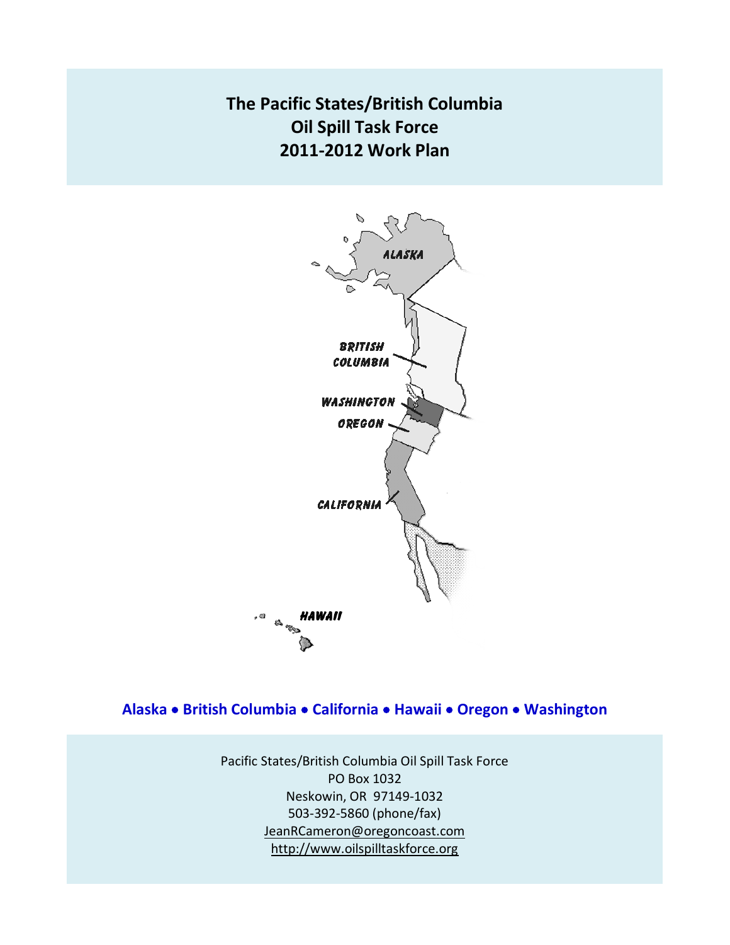# **The Pacific States/British Columbia Oil Spill Task Force 2011-2012 Work Plan**



**Alaska British Columbia California Hawaii Oregon Washington** 

Pacific States/British Columbia Oil Spill Task Force PO Box 1032 Neskowin, OR 97149-1032 503-392-5860 (phone/fax) [JeanRCameron@oregoncoast.com](mailto:JeanRCameron@oregoncoast.com) [http://w](http://wlapwww.gov.bc.ca/eeeb/taskforc/tfhome.htm)ww.oilspilltaskforce.org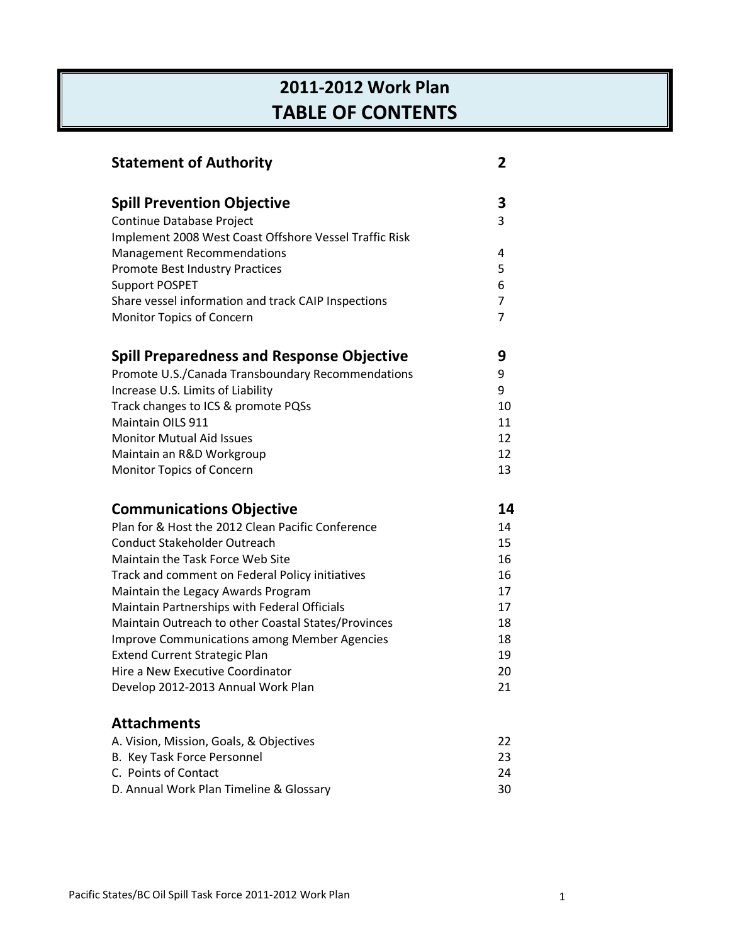# **2011-2012 Work Plan TABLE OF CONTENTS**

| <b>Statement of Authority</b>                                            | 2              |
|--------------------------------------------------------------------------|----------------|
| <b>Spill Prevention Objective</b>                                        | 3              |
| Continue Database Project                                                | 3              |
| Implement 2008 West Coast Offshore Vessel Traffic Risk                   |                |
| <b>Management Recommendations</b>                                        | 4              |
| Promote Best Industry Practices                                          | 5              |
| <b>Support POSPET</b>                                                    | 6              |
| Share vessel information and track CAIP Inspections                      | 7              |
| Monitor Topics of Concern                                                | $\overline{7}$ |
| <b>Spill Preparedness and Response Objective</b>                         | 9              |
| Promote U.S./Canada Transboundary Recommendations                        | 9              |
| Increase U.S. Limits of Liability                                        | 9              |
| Track changes to ICS & promote PQSs                                      | 10             |
| Maintain OILS 911                                                        | 11             |
| <b>Monitor Mutual Aid Issues</b>                                         | 12             |
| Maintain an R&D Workgroup                                                | 12             |
| Monitor Topics of Concern                                                | 13             |
| <b>Communications Objective</b>                                          | 14             |
| Plan for & Host the 2012 Clean Pacific Conference                        | 14             |
| <b>Conduct Stakeholder Outreach</b>                                      | 15             |
| Maintain the Task Force Web Site                                         | 16             |
| Track and comment on Federal Policy initiatives                          | 16             |
| Maintain the Legacy Awards Program                                       | 17             |
| Maintain Partnerships with Federal Officials                             | 17             |
| Maintain Outreach to other Coastal States/Provinces                      | 18             |
| <b>Improve Communications among Member Agencies</b>                      | 18             |
| <b>Extend Current Strategic Plan</b><br>Hire a New Executive Coordinator | 19             |
| Develop 2012-2013 Annual Work Plan                                       | 20<br>21       |
|                                                                          |                |
| <b>Attachments</b>                                                       |                |
| A. Vision, Mission, Goals, & Objectives                                  | 22             |
| B. Key Task Force Personnel                                              | 23             |
| C. Points of Contact                                                     | 24             |
| D. Annual Work Plan Timeline & Glossary                                  | 30             |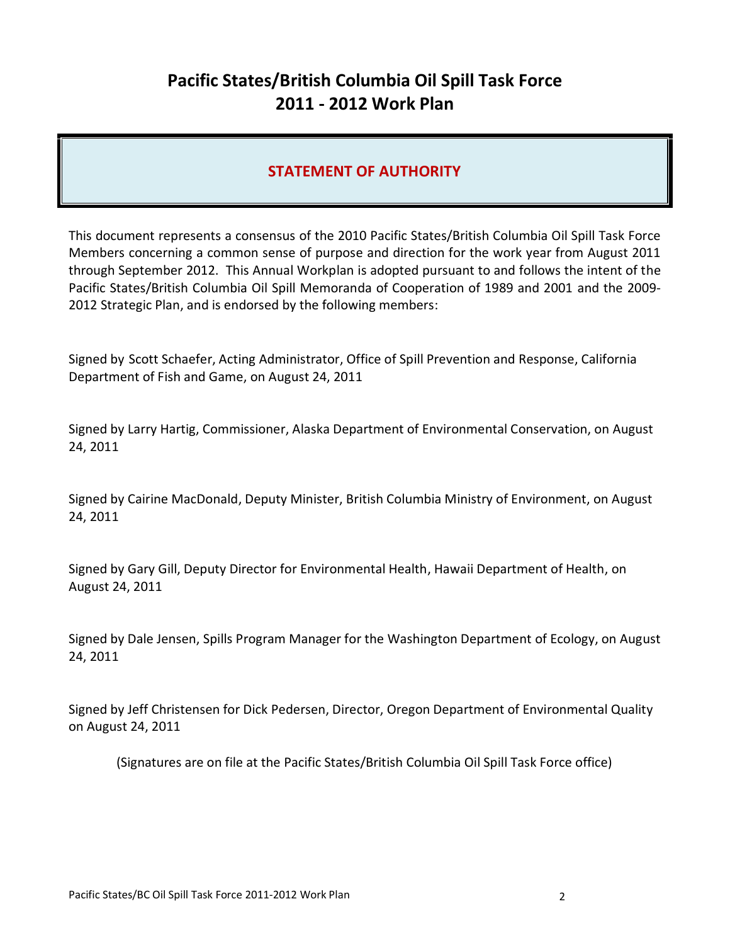# **Pacific States/British Columbia Oil Spill Task Force 2011 - 2012 Work Plan**

## **STATEMENT OF AUTHORITY**

This document represents a consensus of the 2010 Pacific States/British Columbia Oil Spill Task Force Members concerning a common sense of purpose and direction for the work year from August 2011 through September 2012. This Annual Workplan is adopted pursuant to and follows the intent of the Pacific States/British Columbia Oil Spill Memoranda of Cooperation of 1989 and 2001 and the 2009- 2012 Strategic Plan, and is endorsed by the following members:

Signed by Scott Schaefer, Acting Administrator, Office of Spill Prevention and Response, California Department of Fish and Game, on August 24, 2011

Signed by Larry Hartig, Commissioner, Alaska Department of Environmental Conservation, on August 24, 2011

Signed by Cairine MacDonald, Deputy Minister, British Columbia Ministry of Environment, on August 24, 2011

Signed by Gary Gill, Deputy Director for Environmental Health, Hawaii Department of Health, on August 24, 2011

Signed by Dale Jensen, Spills Program Manager for the Washington Department of Ecology, on August 24, 2011

Signed by Jeff Christensen for Dick Pedersen, Director, Oregon Department of Environmental Quality on August 24, 2011

(Signatures are on file at the Pacific States/British Columbia Oil Spill Task Force office)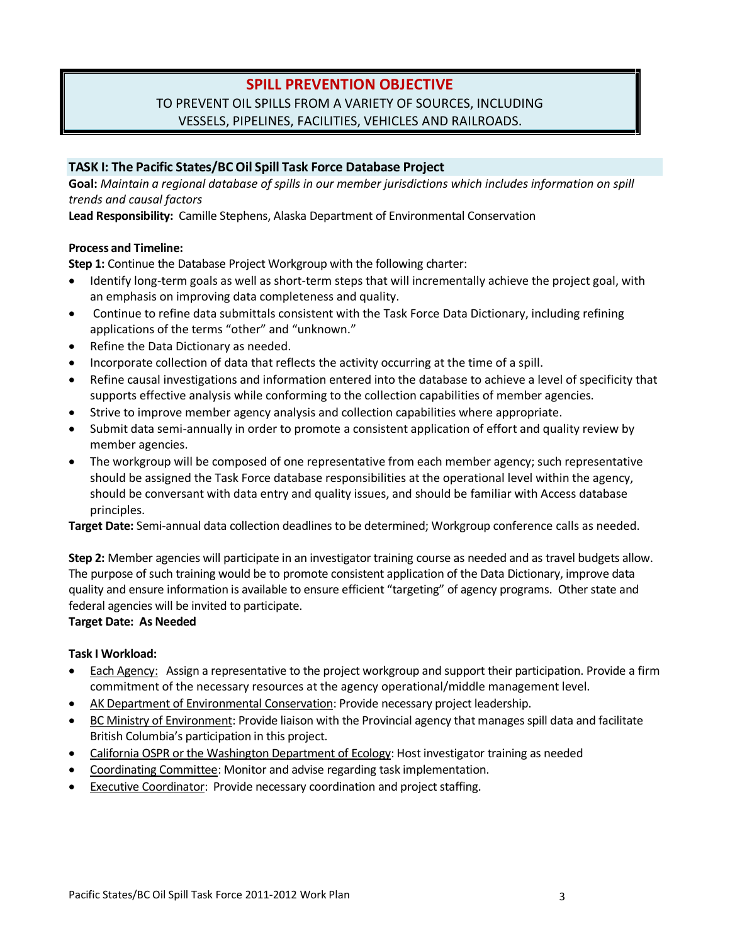## **SPILL PREVENTION OBJECTIVE** TO PREVENT OIL SPILLS FROM A VARIETY OF SOURCES, INCLUDING VESSELS, PIPELINES, FACILITIES, VEHICLES AND RAILROADS.

### **TASK I: The Pacific States/BC Oil Spill Task Force Database Project**

**Goal:** *Maintain a regional database of spills in our member jurisdictions which includes information on spill trends and causal factors* 

**Lead Responsibility:** Camille Stephens, Alaska Department of Environmental Conservation

#### **Process and Timeline:**

**Step 1:** Continue the Database Project Workgroup with the following charter:

- Identify long-term goals as well as short-term steps that will incrementally achieve the project goal, with an emphasis on improving data completeness and quality.
- Continue to refine data submittals consistent with the Task Force Data Dictionary, including refining applications of the terms "other" and "unknown."
- Refine the Data Dictionary as needed.
- Incorporate collection of data that reflects the activity occurring at the time of a spill.
- Refine causal investigations and information entered into the database to achieve a level of specificity that supports effective analysis while conforming to the collection capabilities of member agencies.
- Strive to improve member agency analysis and collection capabilities where appropriate.
- Submit data semi-annually in order to promote a consistent application of effort and quality review by member agencies.
- The workgroup will be composed of one representative from each member agency; such representative should be assigned the Task Force database responsibilities at the operational level within the agency, should be conversant with data entry and quality issues, and should be familiar with Access database principles.

**Target Date:** Semi-annual data collection deadlines to be determined; Workgroup conference calls as needed.

**Step 2:** Member agencies will participate in an investigator training course as needed and as travel budgets allow. The purpose of such training would be to promote consistent application of the Data Dictionary, improve data quality and ensure information is available to ensure efficient "targeting" of agency programs. Other state and federal agencies will be invited to participate.

#### **Target Date: As Needed**

#### **Task I Workload:**

- Each Agency: Assign a representative to the project workgroup and support their participation. Provide a firm commitment of the necessary resources at the agency operational/middle management level.
- AK Department of Environmental Conservation: Provide necessary project leadership.
- BC Ministry of Environment: Provide liaison with the Provincial agency that manages spill data and facilitate British Columbia's participation in this project.
- California OSPR or the Washington Department of Ecology: Host investigator training as needed
- Coordinating Committee: Monitor and advise regarding task implementation.
- Executive Coordinator: Provide necessary coordination and project staffing.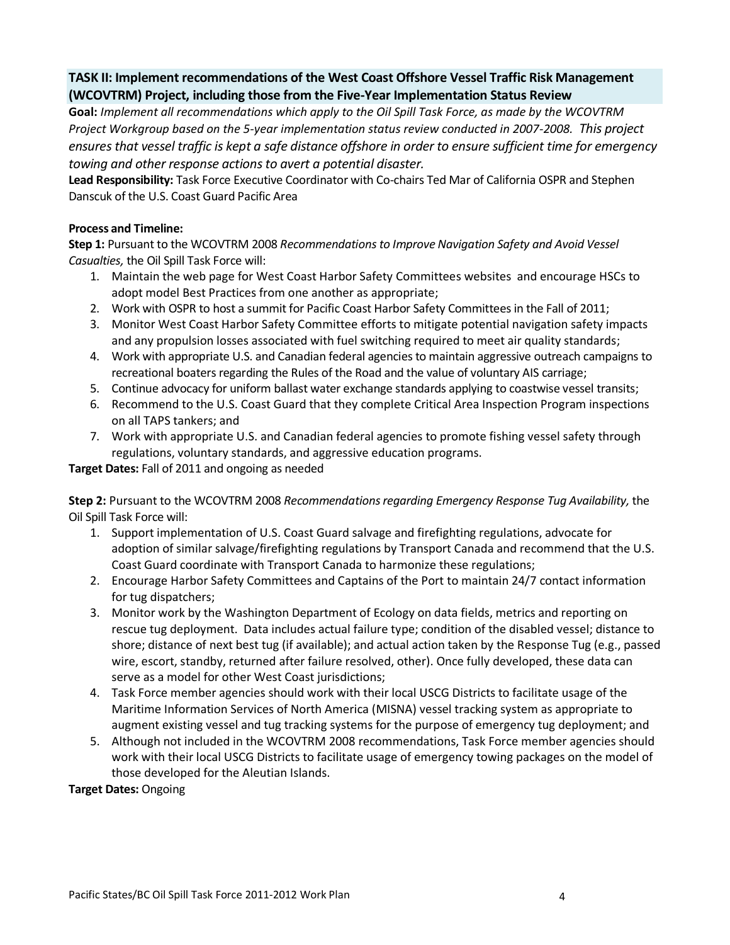## **TASK II: Implement recommendations of the West Coast Offshore Vessel Traffic Risk Management (WCOVTRM) Project, including those from the Five-Year Implementation Status Review**

**Goal:** *Implement all recommendations which apply to the Oil Spill Task Force, as made by the WCOVTRM Project Workgroup based on the 5-year implementation status review conducted in 2007-2008. This project ensures that vessel traffic is kept a safe distance offshore in order to ensure sufficient time for emergency towing and other response actions to avert a potential disaster.*

**Lead Responsibility:** Task Force Executive Coordinator with Co-chairs Ted Mar of California OSPR and Stephen Danscuk of the U.S. Coast Guard Pacific Area

#### **Process and Timeline:**

**Step 1:** Pursuant to the WCOVTRM 2008 *Recommendations to Improve Navigation Safety and Avoid Vessel Casualties,* the Oil Spill Task Force will:

- 1. Maintain the web page for West Coast Harbor Safety Committees websites and encourage HSCs to adopt model Best Practices from one another as appropriate;
- 2. Work with OSPR to host a summit for Pacific Coast Harbor Safety Committees in the Fall of 2011;
- 3. Monitor West Coast Harbor Safety Committee efforts to mitigate potential navigation safety impacts and any propulsion losses associated with fuel switching required to meet air quality standards;
- 4. Work with appropriate U.S. and Canadian federal agencies to maintain aggressive outreach campaigns to recreational boaters regarding the Rules of the Road and the value of voluntary AIS carriage;
- 5. Continue advocacy for uniform ballast water exchange standards applying to coastwise vessel transits;
- 6. Recommend to the U.S. Coast Guard that they complete Critical Area Inspection Program inspections on all TAPS tankers; and
- 7. Work with appropriate U.S. and Canadian federal agencies to promote fishing vessel safety through regulations, voluntary standards, and aggressive education programs.

**Target Dates:** Fall of 2011 and ongoing as needed

**Step 2:** Pursuant to the WCOVTRM 2008 *Recommendations regarding Emergency Response Tug Availability,* the Oil Spill Task Force will:

- 1. Support implementation of U.S. Coast Guard salvage and firefighting regulations, advocate for adoption of similar salvage/firefighting regulations by Transport Canada and recommend that the U.S. Coast Guard coordinate with Transport Canada to harmonize these regulations;
- 2. Encourage Harbor Safety Committees and Captains of the Port to maintain 24/7 contact information for tug dispatchers;
- 3. Monitor work by the Washington Department of Ecology on data fields, metrics and reporting on rescue tug deployment. Data includes actual failure type; condition of the disabled vessel; distance to shore; distance of next best tug (if available); and actual action taken by the Response Tug (e.g., passed wire, escort, standby, returned after failure resolved, other). Once fully developed, these data can serve as a model for other West Coast jurisdictions;
- 4. Task Force member agencies should work with their local USCG Districts to facilitate usage of the Maritime Information Services of North America (MISNA) vessel tracking system as appropriate to augment existing vessel and tug tracking systems for the purpose of emergency tug deployment; and
- 5. Although not included in the WCOVTRM 2008 recommendations, Task Force member agencies should work with their local USCG Districts to facilitate usage of emergency towing packages on the model of those developed for the Aleutian Islands.

**Target Dates:** Ongoing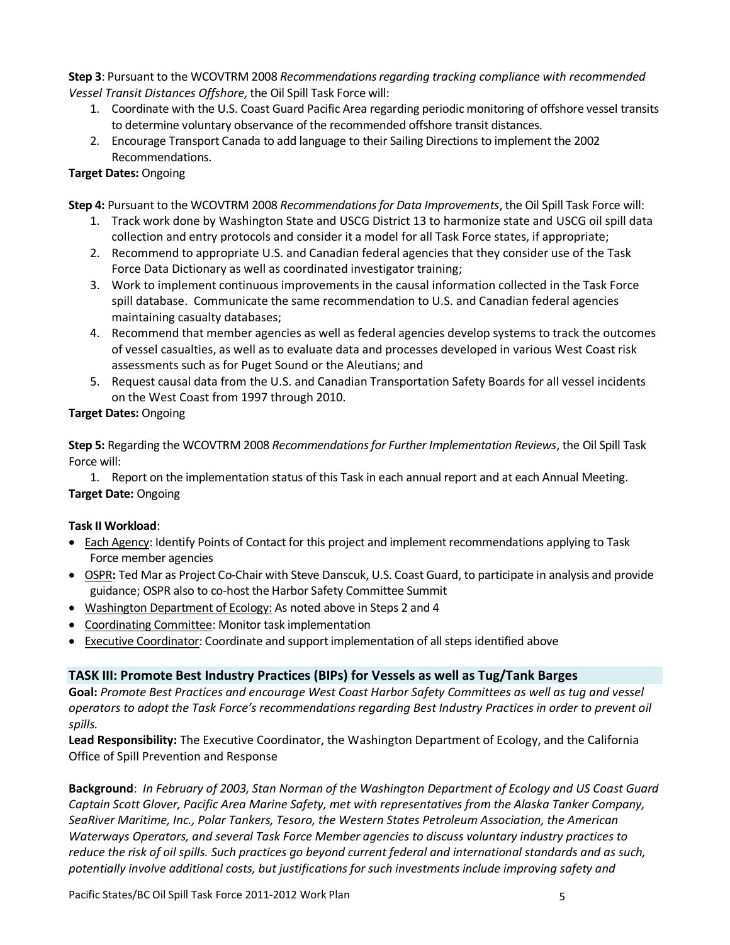**Step 3**: Pursuant to the WCOVTRM 2008 *Recommendations regarding tracking compliance with recommended Vessel Transit Distances Offshore,*the Oil Spill Task Force will:

- 1. Coordinate with the U.S. Coast Guard Pacific Area regarding periodic monitoring of offshore vessel transits to determine voluntary observance of the recommended offshore transit distances.
- 2. Encourage Transport Canada to add language to their Sailing Directions to implement the 2002 Recommendations.

## **Target Dates:** Ongoing

**Step 4:** Pursuant to the WCOVTRM 2008 *Recommendations for Data Improvements*, the Oil Spill Task Force will:

- 1. Track work done by Washington State and USCG District 13 to harmonize state and USCG oil spill data collection and entry protocols and consider it a model for all Task Force states, if appropriate;
- 2. Recommend to appropriate U.S. and Canadian federal agencies that they consider use of the Task Force Data Dictionary as well as coordinated investigator training;
- 3. Work to implement continuous improvements in the causal information collected in the Task Force spill database. Communicate the same recommendation to U.S. and Canadian federal agencies maintaining casualty databases;
- 4. Recommend that member agencies as well as federal agencies develop systems to track the outcomes of vessel casualties, as well as to evaluate data and processes developed in various West Coast risk assessments such as for Puget Sound or the Aleutians; and
- 5. Request causal data from the U.S. and Canadian Transportation Safety Boards for all vessel incidents on the West Coast from 1997 through 2010.

## **Target Dates:** Ongoing

**Step 5:** Regarding the WCOVTRM 2008 *Recommendations for Further Implementation Reviews*, the Oil Spill Task Force will:

1. Report on the implementation status of this Task in each annual report and at each Annual Meeting. **Target Date:** Ongoing

## **Task II Workload**:

- Each Agency: Identify Points of Contact for this project and implement recommendations applying to Task Force member agencies
- **OSPR: Ted Mar as Project Co-Chair with Steve Danscuk, U.S. Coast Guard, to participate in analysis and provide** guidance; OSPR also to co-host the Harbor Safety Committee Summit
- Washington Department of Ecology: As noted above in Steps 2 and 4
- Coordinating Committee: Monitor task implementation
- Executive Coordinator: Coordinate and support implementation of all steps identified above

## **TASK III: Promote Best Industry Practices (BIPs) for Vessels as well as Tug/Tank Barges**

**Goal:** *Promote Best Practices and encourage West Coast Harbor Safety Committees as well as tug and vessel operators to adopt the Task Force's recommendations regarding Best Industry Practices in order to prevent oil spills.* 

**Lead Responsibility:** The Executive Coordinator, the Washington Department of Ecology, and the California Office of Spill Prevention and Response

**Background**: *In February of 2003, Stan Norman of the Washington Department of Ecology and US Coast Guard Captain Scott Glover, Pacific Area Marine Safety, met with representatives from the Alaska Tanker Company, SeaRiver Maritime, Inc., Polar Tankers, Tesoro, the Western States Petroleum Association, the American Waterways Operators, and several Task Force Member agencies to discuss voluntary industry practices to reduce the risk of oil spills. Such practices go beyond current federal and international standards and as such, potentially involve additional costs, but justifications for such investments include improving safety and*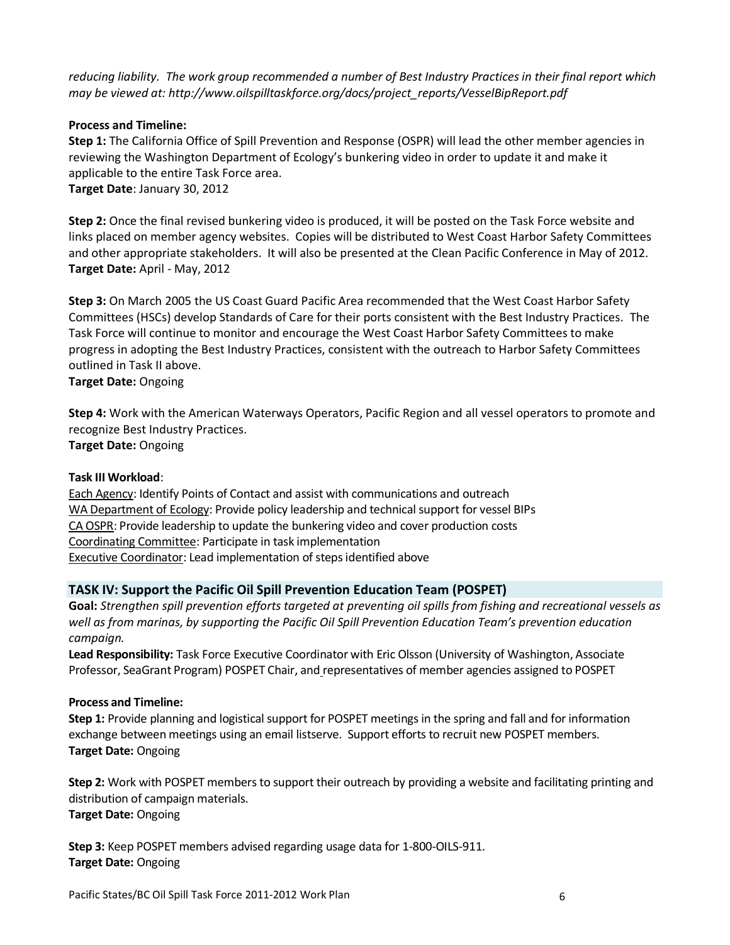*reducing liability. The work group recommended a number of Best Industry Practices in their final report which may be viewed at[: http://www.oilspilltaskforce.org/docs/project\\_reports/VesselBipReport.pdf](http://www.oilspilltaskforce.org/docs/project_reports/VesselBipReport.pdf)*

#### **Process and Timeline:**

**Step 1:** The California Office of Spill Prevention and Response (OSPR) will lead the other member agencies in reviewing the Washington Department of Ecology's bunkering video in order to update it and make it applicable to the entire Task Force area. **Target Date**: January 30, 2012

**Step 2:** Once the final revised bunkering video is produced, it will be posted on the Task Force website and links placed on member agency websites. Copies will be distributed to West Coast Harbor Safety Committees and other appropriate stakeholders. It will also be presented at the Clean Pacific Conference in May of 2012. **Target Date:** April - May, 2012

**Step 3:** On March 2005 the US Coast Guard Pacific Area recommended that the West Coast Harbor Safety Committees (HSCs) develop Standards of Care for their ports consistent with the Best Industry Practices. The Task Force will continue to monitor and encourage the West Coast Harbor Safety Committees to make progress in adopting the Best Industry Practices, consistent with the outreach to Harbor Safety Committees outlined in Task II above.

**Target Date:** Ongoing

**Step 4:** Work with the American Waterways Operators, Pacific Region and all vessel operators to promote and recognize Best Industry Practices.

**Target Date:** Ongoing

#### **Task III Workload**:

Each Agency: Identify Points of Contact and assist with communications and outreach WA Department of Ecology: Provide policy leadership and technical support for vessel BIPs CA OSPR: Provide leadership to update the bunkering video and cover production costs Coordinating Committee: Participate in task implementation Executive Coordinator: Lead implementation of steps identified above

## **TASK IV: Support the Pacific Oil Spill Prevention Education Team (POSPET)**

**Goal:** *Strengthen spill prevention efforts targeted at preventing oil spills from fishing and recreational vessels as well as from marinas, by supporting the Pacific Oil Spill Prevention Education Team's prevention education campaign.* 

**Lead Responsibility:** Task Force Executive Coordinator with Eric Olsson (University of Washington, Associate Professor, SeaGrant Program) POSPET Chair, and representatives of member agencies assigned to POSPET

#### **Process and Timeline:**

**Step 1:** Provide planning and logistical support for POSPET meetings in the spring and fall and for information exchange between meetings using an email listserve. Support efforts to recruit new POSPET members. **Target Date:** Ongoing

**Step 2:** Work with POSPET members to support their outreach by providing a website and facilitating printing and distribution of campaign materials. **Target Date:** Ongoing

**Step 3:** Keep POSPET members advised regarding usage data for 1-800-OILS-911. **Target Date:** Ongoing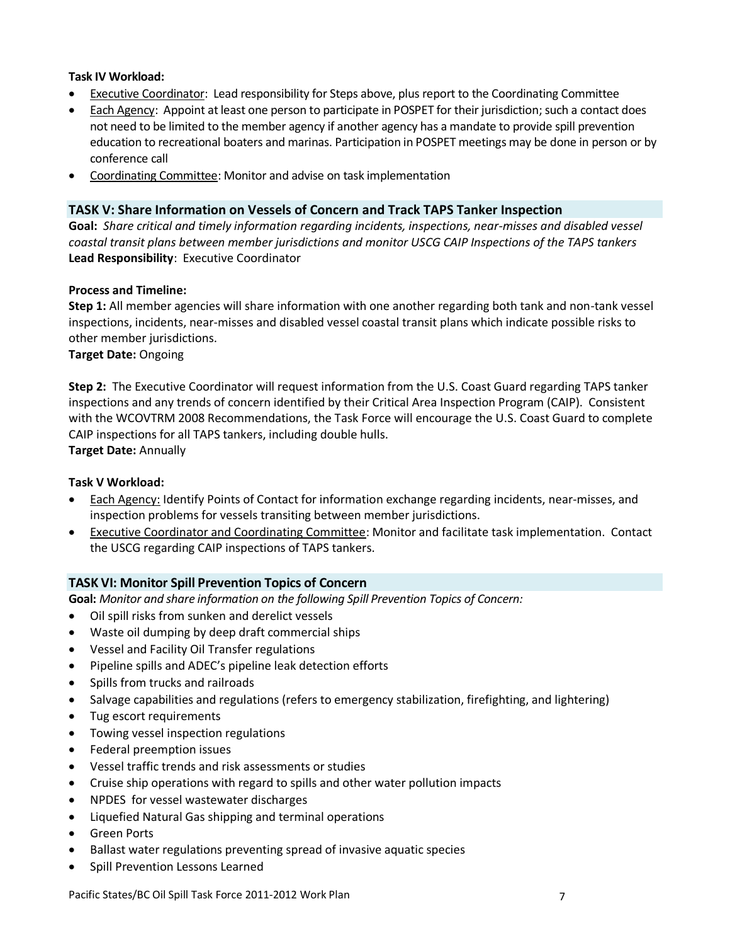#### **Task IV Workload:**

- Executive Coordinator: Lead responsibility for Steps above, plus report to the Coordinating Committee
- Each Agency: Appoint at least one person to participate in POSPET for their jurisdiction; such a contact does not need to be limited to the member agency if another agency has a mandate to provide spill prevention education to recreational boaters and marinas. Participation in POSPET meetings may be done in person or by conference call
- Coordinating Committee: Monitor and advise on task implementation

### **TASK V: Share Information on Vessels of Concern and Track TAPS Tanker Inspection**

**Goal:** *Share critical and timely information regarding incidents, inspections, near-misses and disabled vessel coastal transit plans between member jurisdictions and monitor USCG CAIP Inspections of the TAPS tankers* **Lead Responsibility**: Executive Coordinator

### **Process and Timeline:**

**Step 1:** All member agencies will share information with one another regarding both tank and non-tank vessel inspections, incidents, near-misses and disabled vessel coastal transit plans which indicate possible risks to other member jurisdictions.

**Target Date:** Ongoing

**Step 2:** The Executive Coordinator will request information from the U.S. Coast Guard regarding TAPS tanker inspections and any trends of concern identified by their Critical Area Inspection Program (CAIP). Consistent with the WCOVTRM 2008 Recommendations, the Task Force will encourage the U.S. Coast Guard to complete CAIP inspections for all TAPS tankers, including double hulls.

**Target Date:** Annually

#### **Task V Workload:**

- Each Agency: Identify Points of Contact for information exchange regarding incidents, near-misses, and inspection problems for vessels transiting between member jurisdictions.
- Executive Coordinator and Coordinating Committee: Monitor and facilitate task implementation. Contact the USCG regarding CAIP inspections of TAPS tankers.

#### **TASK VI: Monitor Spill Prevention Topics of Concern**

**Goal:** *Monitor and share information on the following Spill Prevention Topics of Concern:*

- Oil spill risks from sunken and derelict vessels
- Waste oil dumping by deep draft commercial ships
- Vessel and Facility Oil Transfer regulations
- Pipeline spills and ADEC's pipeline leak detection efforts
- Spills from trucks and railroads
- Salvage capabilities and regulations (refers to emergency stabilization, firefighting, and lightering)
- Tug escort requirements
- Towing vessel inspection regulations
- Federal preemption issues
- Vessel traffic trends and risk assessments or studies
- Cruise ship operations with regard to spills and other water pollution impacts
- NPDES for vessel wastewater discharges
- Liquefied Natural Gas shipping and terminal operations
- Green Ports
- Ballast water regulations preventing spread of invasive aquatic species
- Spill Prevention Lessons Learned

Pacific States/BC Oil Spill Task Force 2011-2012 Work Plan 7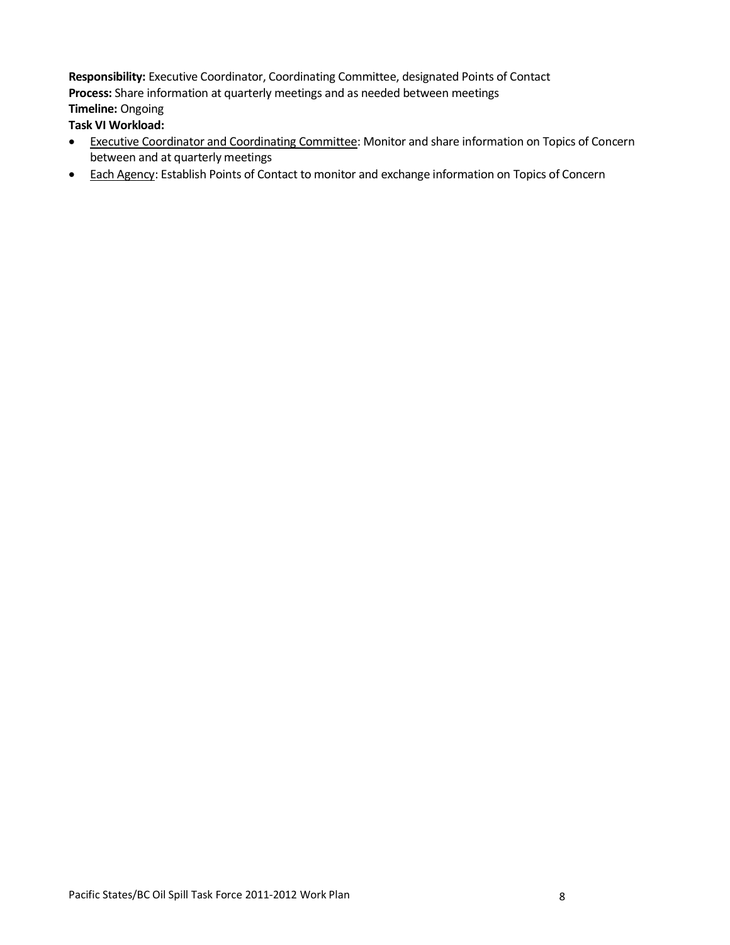**Responsibility:** Executive Coordinator, Coordinating Committee, designated Points of Contact **Process:** Share information at quarterly meetings and as needed between meetings **Timeline:** Ongoing

**Task VI Workload:** 

- **Executive Coordinator and Coordinating Committee: Monitor and share information on Topics of Concern** between and at quarterly meetings
- Each Agency: Establish Points of Contact to monitor and exchange information on Topics of Concern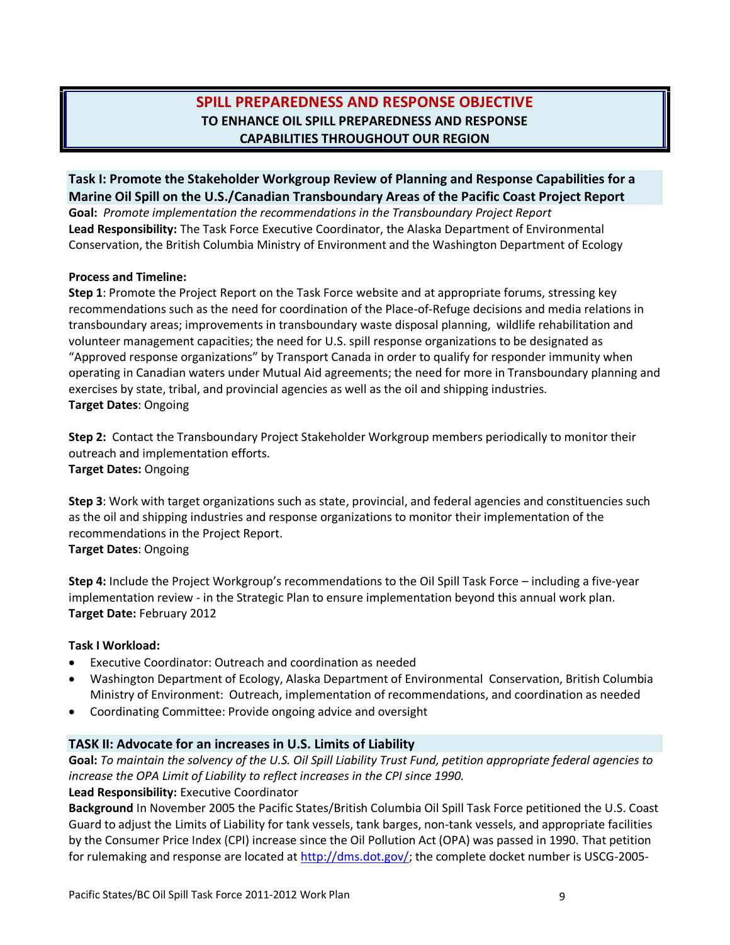## **SPILL PREPAREDNESS AND RESPONSE OBJECTIVE TO ENHANCE OIL SPILL PREPAREDNESS AND RESPONSE CAPABILITIES THROUGHOUT OUR REGION**

**Task I: Promote the Stakeholder Workgroup Review of Planning and Response Capabilities for a Marine Oil Spill on the U.S./Canadian Transboundary Areas of the Pacific Coast Project Report**

**Goal:** *Promote implementation the recommendations in the Transboundary Project Report* **Lead Responsibility:** The Task Force Executive Coordinator, the Alaska Department of Environmental Conservation, the British Columbia Ministry of Environment and the Washington Department of Ecology

#### **Process and Timeline:**

**Step 1**: Promote the Project Report on the Task Force website and at appropriate forums, stressing key recommendations such as the need for coordination of the Place-of-Refuge decisions and media relations in transboundary areas; improvements in transboundary waste disposal planning, wildlife rehabilitation and volunteer management capacities; the need for U.S. spill response organizations to be designated as "Approved response organizations" by Transport Canada in order to qualify for responder immunity when operating in Canadian waters under Mutual Aid agreements; the need for more in Transboundary planning and exercises by state, tribal, and provincial agencies as well as the oil and shipping industries. **Target Dates**: Ongoing

**Step 2:** Contact the Transboundary Project Stakeholder Workgroup members periodically to monitor their outreach and implementation efforts. **Target Dates:** Ongoing

**Step 3**: Work with target organizations such as state, provincial, and federal agencies and constituencies such as the oil and shipping industries and response organizations to monitor their implementation of the recommendations in the Project Report. **Target Dates**: Ongoing

**Step 4:** Include the Project Workgroup's recommendations to the Oil Spill Task Force – including a five-year implementation review - in the Strategic Plan to ensure implementation beyond this annual work plan. **Target Date:** February 2012

#### **Task I Workload:**

- Executive Coordinator: Outreach and coordination as needed
- Washington Department of Ecology, Alaska Department of Environmental Conservation, British Columbia Ministry of Environment: Outreach, implementation of recommendations, and coordination as needed
- Coordinating Committee: Provide ongoing advice and oversight

## **TASK II: Advocate for an increases in U.S. Limits of Liability**

**Goal:** *To maintain the solvency of the U.S. Oil Spill Liability Trust Fund, petition appropriate federal agencies to increase the OPA Limit of Liability to reflect increases in the CPI since 1990.*

#### **Lead Responsibility:** Executive Coordinator

**Background** In November 2005 the Pacific States/British Columbia Oil Spill Task Force petitioned the U.S. Coast Guard to adjust the Limits of Liability for tank vessels, tank barges, non-tank vessels, and appropriate facilities by the Consumer Price Index (CPI) increase since the Oil Pollution Act (OPA) was passed in 1990. That petition for rulemaking and response are located at [http://dms.dot.gov/;](http://dms.dot.gov/) the complete docket number is USCG-2005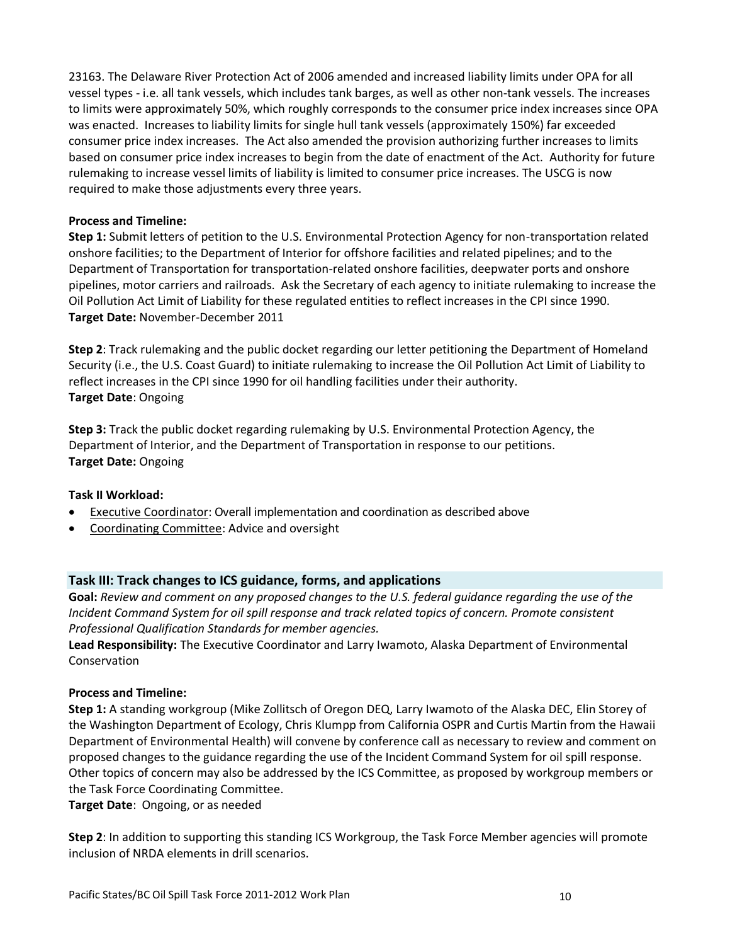23163. The Delaware River Protection Act of 2006 amended and increased liability limits under OPA for all vessel types - i.e. all tank vessels, which includes tank barges, as well as other non-tank vessels. The increases to limits were approximately 50%, which roughly corresponds to the consumer price index increases since OPA was enacted. Increases to liability limits for single hull tank vessels (approximately 150%) far exceeded consumer price index increases. The Act also amended the provision authorizing further increases to limits based on consumer price index increases to begin from the date of enactment of the Act. Authority for future rulemaking to increase vessel limits of liability is limited to consumer price increases. The USCG is now required to make those adjustments every three years.

#### **Process and Timeline:**

**Step 1:** Submit letters of petition to the U.S. Environmental Protection Agency for non-transportation related onshore facilities; to the Department of Interior for offshore facilities and related pipelines; and to the Department of Transportation for transportation-related onshore facilities, deepwater ports and onshore pipelines, motor carriers and railroads. Ask the Secretary of each agency to initiate rulemaking to increase the Oil Pollution Act Limit of Liability for these regulated entities to reflect increases in the CPI since 1990. **Target Date:** November-December 2011

**Step 2**: Track rulemaking and the public docket regarding our letter petitioning the Department of Homeland Security (i.e., the U.S. Coast Guard) to initiate rulemaking to increase the Oil Pollution Act Limit of Liability to reflect increases in the CPI since 1990 for oil handling facilities under their authority. **Target Date**: Ongoing

**Step 3:** Track the public docket regarding rulemaking by U.S. Environmental Protection Agency, the Department of Interior, and the Department of Transportation in response to our petitions. **Target Date:** Ongoing

#### **Task II Workload:**

- Executive Coordinator: Overall implementation and coordination as described above
- Coordinating Committee: Advice and oversight

## **Task III: Track changes to ICS guidance, forms, and applications**

**Goal:** *Review and comment on any proposed changes to the U.S. federal guidance regarding the use of the Incident Command System for oil spill response and track related topics of concern. Promote consistent Professional Qualification Standards for member agencies.* 

**Lead Responsibility:** The Executive Coordinator and Larry Iwamoto, Alaska Department of Environmental Conservation

## **Process and Timeline:**

**Step 1:** A standing workgroup (Mike Zollitsch of Oregon DEQ, Larry Iwamoto of the Alaska DEC, Elin Storey of the Washington Department of Ecology, Chris Klumpp from California OSPR and Curtis Martin from the Hawaii Department of Environmental Health) will convene by conference call as necessary to review and comment on proposed changes to the guidance regarding the use of the Incident Command System for oil spill response. Other topics of concern may also be addressed by the ICS Committee, as proposed by workgroup members or the Task Force Coordinating Committee.

**Target Date**: Ongoing, or as needed

**Step 2**: In addition to supporting this standing ICS Workgroup, the Task Force Member agencies will promote inclusion of NRDA elements in drill scenarios.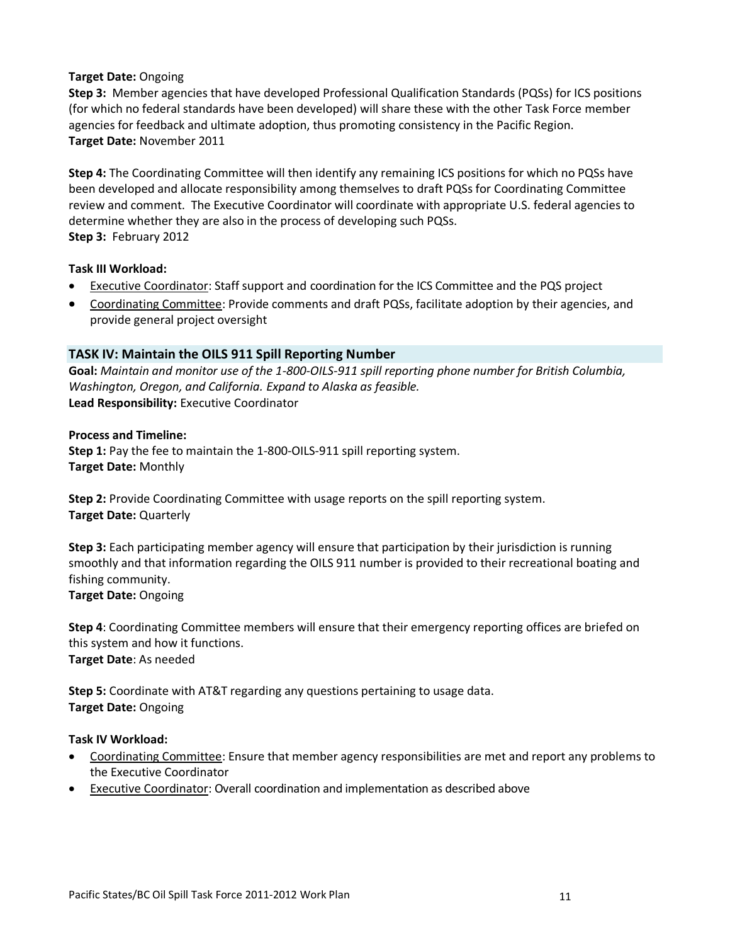### **Target Date:** Ongoing

**Step 3:** Member agencies that have developed Professional Qualification Standards (PQSs) for ICS positions (for which no federal standards have been developed) will share these with the other Task Force member agencies for feedback and ultimate adoption, thus promoting consistency in the Pacific Region. **Target Date:** November 2011

**Step 4:** The Coordinating Committee will then identify any remaining ICS positions for which no PQSs have been developed and allocate responsibility among themselves to draft PQSs for Coordinating Committee review and comment. The Executive Coordinator will coordinate with appropriate U.S. federal agencies to determine whether they are also in the process of developing such PQSs. **Step 3:** February 2012

### **Task III Workload:**

- Executive Coordinator: Staff support and coordination for the ICS Committee and the PQS project
- Coordinating Committee: Provide comments and draft PQSs, facilitate adoption by their agencies, and provide general project oversight

## **TASK IV: Maintain the OILS 911 Spill Reporting Number**

**Goal:** *Maintain and monitor use of the 1-800-OILS-911 spill reporting phone number for British Columbia, Washington, Oregon, and California. Expand to Alaska as feasible.* **Lead Responsibility:** Executive Coordinator

#### **Process and Timeline:**

**Step 1:** Pay the fee to maintain the 1-800-OILS-911 spill reporting system. **Target Date:** Monthly

**Step 2:** Provide Coordinating Committee with usage reports on the spill reporting system. **Target Date:** Quarterly

**Step 3:** Each participating member agency will ensure that participation by their jurisdiction is running smoothly and that information regarding the OILS 911 number is provided to their recreational boating and fishing community.

**Target Date:** Ongoing

**Step 4**: Coordinating Committee members will ensure that their emergency reporting offices are briefed on this system and how it functions. **Target Date**: As needed

**Step 5:** Coordinate with AT&T regarding any questions pertaining to usage data. **Target Date:** Ongoing

#### **Task IV Workload:**

- Coordinating Committee: Ensure that member agency responsibilities are met and report any problems to the Executive Coordinator
- Executive Coordinator: Overall coordination and implementation as described above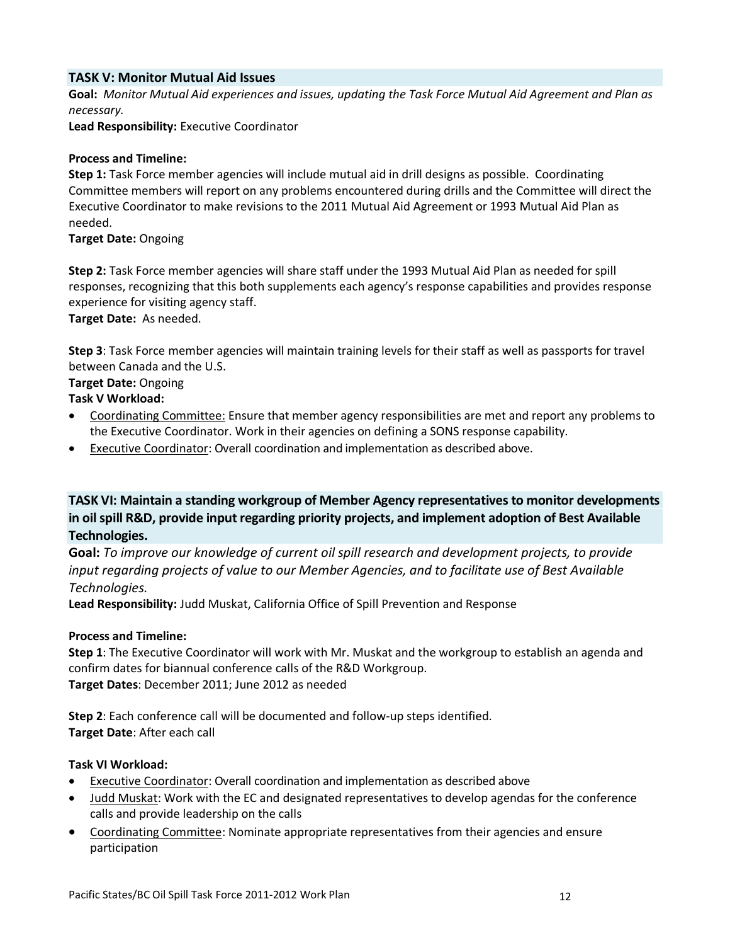### **TASK V: Monitor Mutual Aid Issues**

**Goal:** *Monitor Mutual Aid experiences and issues, updating the Task Force Mutual Aid Agreement and Plan as necessary.*

**Lead Responsibility:** Executive Coordinator

#### **Process and Timeline:**

**Step 1:** Task Force member agencies will include mutual aid in drill designs as possible. Coordinating Committee members will report on any problems encountered during drills and the Committee will direct the Executive Coordinator to make revisions to the 2011 Mutual Aid Agreement or 1993 Mutual Aid Plan as needed.

#### **Target Date:** Ongoing

**Step 2:** Task Force member agencies will share staff under the 1993 Mutual Aid Plan as needed for spill responses, recognizing that this both supplements each agency's response capabilities and provides response experience for visiting agency staff.

**Target Date:** As needed.

**Step 3**: Task Force member agencies will maintain training levels for their staff as well as passports for travel between Canada and the U.S.

### **Target Date:** Ongoing

**Task V Workload:**

- Coordinating Committee: Ensure that member agency responsibilities are met and report any problems to the Executive Coordinator. Work in their agencies on defining a SONS response capability.
- Executive Coordinator: Overall coordination and implementation as described above.

**TASK VI: Maintain a standing workgroup of Member Agency representatives to monitor developments in oil spill R&D, provide input regarding priority projects, and implement adoption of Best Available Technologies.**

**Goal:** *To improve our knowledge of current oil spill research and development projects, to provide input regarding projects of value to our Member Agencies, and to facilitate use of Best Available Technologies.*

**Lead Responsibility:** Judd Muskat, California Office of Spill Prevention and Response

#### **Process and Timeline:**

**Step 1**: The Executive Coordinator will work with Mr. Muskat and the workgroup to establish an agenda and confirm dates for biannual conference calls of the R&D Workgroup. **Target Dates**: December 2011; June 2012 as needed

**Step 2**: Each conference call will be documented and follow-up steps identified. **Target Date**: After each call

#### **Task VI Workload:**

- Executive Coordinator: Overall coordination and implementation as described above
- Judd Muskat: Work with the EC and designated representatives to develop agendas for the conference calls and provide leadership on the calls
- Coordinating Committee: Nominate appropriate representatives from their agencies and ensure participation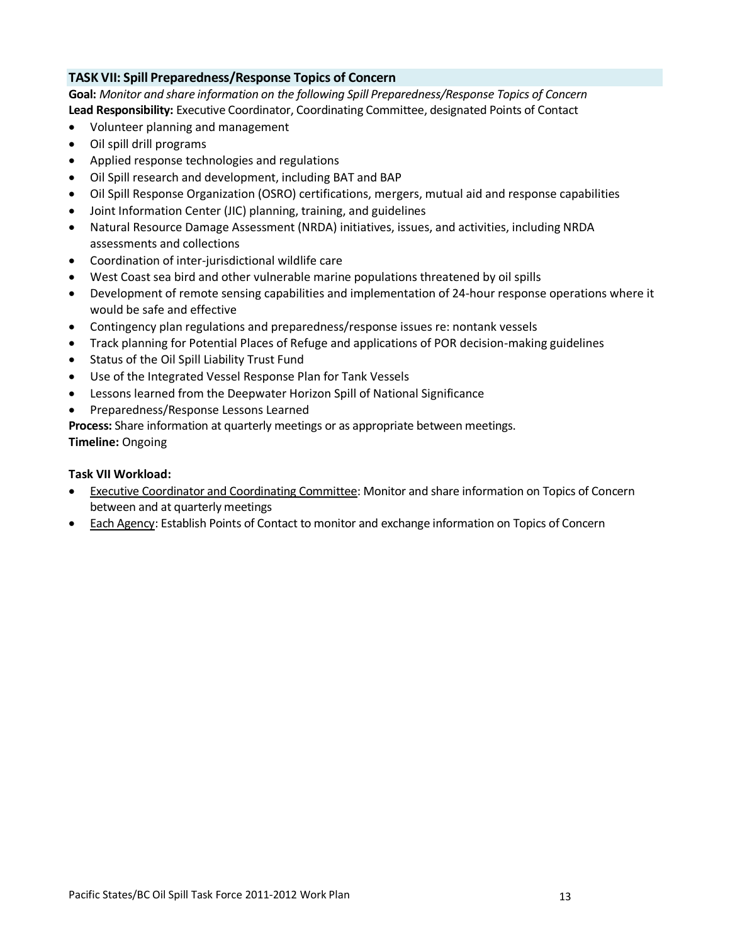### **TASK VII: Spill Preparedness/Response Topics of Concern**

**Goal:** *Monitor and share information on the following Spill Preparedness/Response Topics of Concern* **Lead Responsibility:** Executive Coordinator, Coordinating Committee, designated Points of Contact

- Volunteer planning and management
- Oil spill drill programs
- Applied response technologies and regulations
- Oil Spill research and development, including BAT and BAP
- Oil Spill Response Organization (OSRO) certifications, mergers, mutual aid and response capabilities
- Joint Information Center (JIC) planning, training, and guidelines
- Natural Resource Damage Assessment (NRDA) initiatives, issues, and activities, including NRDA assessments and collections
- Coordination of inter-jurisdictional wildlife care
- West Coast sea bird and other vulnerable marine populations threatened by oil spills
- Development of remote sensing capabilities and implementation of 24-hour response operations where it would be safe and effective
- Contingency plan regulations and preparedness/response issues re: nontank vessels
- Track planning for Potential Places of Refuge and applications of POR decision-making guidelines
- Status of the Oil Spill Liability Trust Fund
- Use of the Integrated Vessel Response Plan for Tank Vessels
- Lessons learned from the Deepwater Horizon Spill of National Significance
- Preparedness/Response Lessons Learned

**Process:** Share information at quarterly meetings or as appropriate between meetings.

**Timeline:** Ongoing

#### **Task VII Workload:**

- Executive Coordinator and Coordinating Committee: Monitor and share information on Topics of Concern between and at quarterly meetings
- Each Agency: Establish Points of Contact to monitor and exchange information on Topics of Concern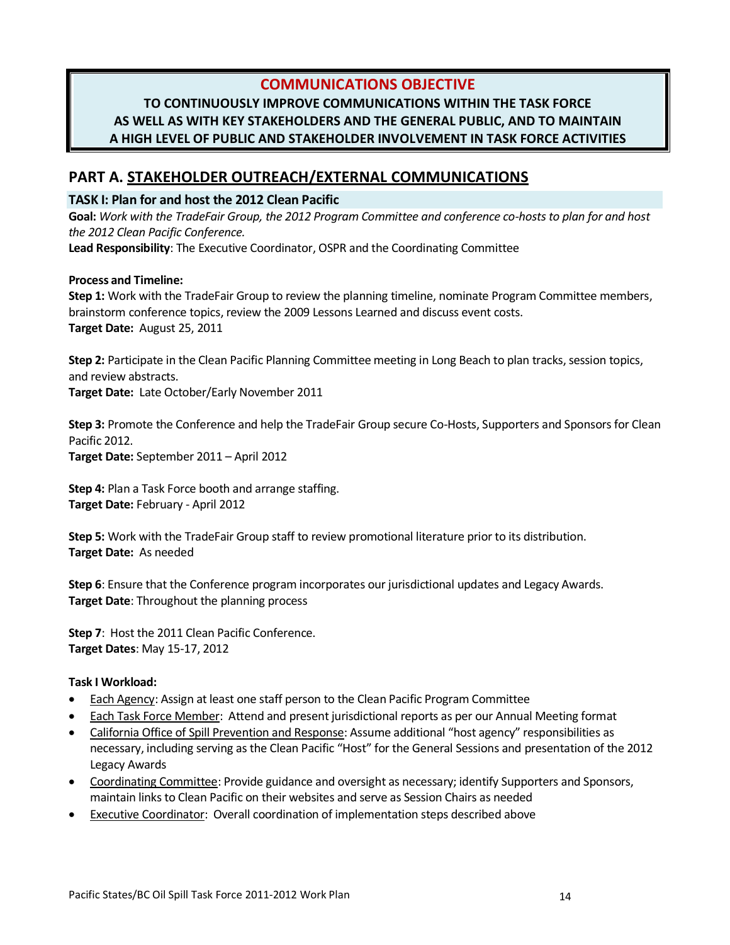## **COMMUNICATIONS OBJECTIVE**

## **TO CONTINUOUSLY IMPROVE COMMUNICATIONS WITHIN THE TASK FORCE AS WELL AS WITH KEY STAKEHOLDERS AND THE GENERAL PUBLIC, AND TO MAINTAIN A HIGH LEVEL OF PUBLIC AND STAKEHOLDER INVOLVEMENT IN TASK FORCE ACTIVITIES**

## **PART A. STAKEHOLDER OUTREACH/EXTERNAL COMMUNICATIONS**

### **TASK I: Plan for and host the 2012 Clean Pacific**

**Goal:** *Work with the TradeFair Group, the 2012 Program Committee and conference co-hosts to plan for and host the 2012 Clean Pacific Conference.*

**Lead Responsibility**: The Executive Coordinator, OSPR and the Coordinating Committee

#### **Process and Timeline:**

**Step 1:** Work with the TradeFair Group to review the planning timeline, nominate Program Committee members, brainstorm conference topics, review the 2009 Lessons Learned and discuss event costs. **Target Date:** August 25, 2011

**Step 2:** Participate in the Clean Pacific Planning Committee meeting in Long Beach to plan tracks, session topics, and review abstracts.

**Target Date:** Late October/Early November 2011

**Step 3:** Promote the Conference and help the TradeFair Group secure Co-Hosts, Supporters and Sponsors for Clean Pacific 2012.

**Target Date:** September 2011 – April 2012

**Step 4:** Plan a Task Force booth and arrange staffing. **Target Date:** February - April 2012

**Step 5:** Work with the TradeFair Group staff to review promotional literature prior to its distribution. **Target Date:** As needed

**Step 6**: Ensure that the Conference program incorporates our jurisdictional updates and Legacy Awards. **Target Date**: Throughout the planning process

**Step 7**: Host the 2011 Clean Pacific Conference. **Target Dates**: May 15-17, 2012

#### **Task I Workload:**

- Each Agency: Assign at least one staff person to the Clean Pacific Program Committee
- Each Task Force Member: Attend and present jurisdictional reports as per our Annual Meeting format
- California Office of Spill Prevention and Response: Assume additional "host agency" responsibilities as necessary, including serving as the Clean Pacific "Host" for the General Sessions and presentation of the 2012 Legacy Awards
- Coordinating Committee: Provide guidance and oversight as necessary; identify Supporters and Sponsors, maintain links to Clean Pacific on their websites and serve as Session Chairs as needed
- Executive Coordinator: Overall coordination of implementation steps described above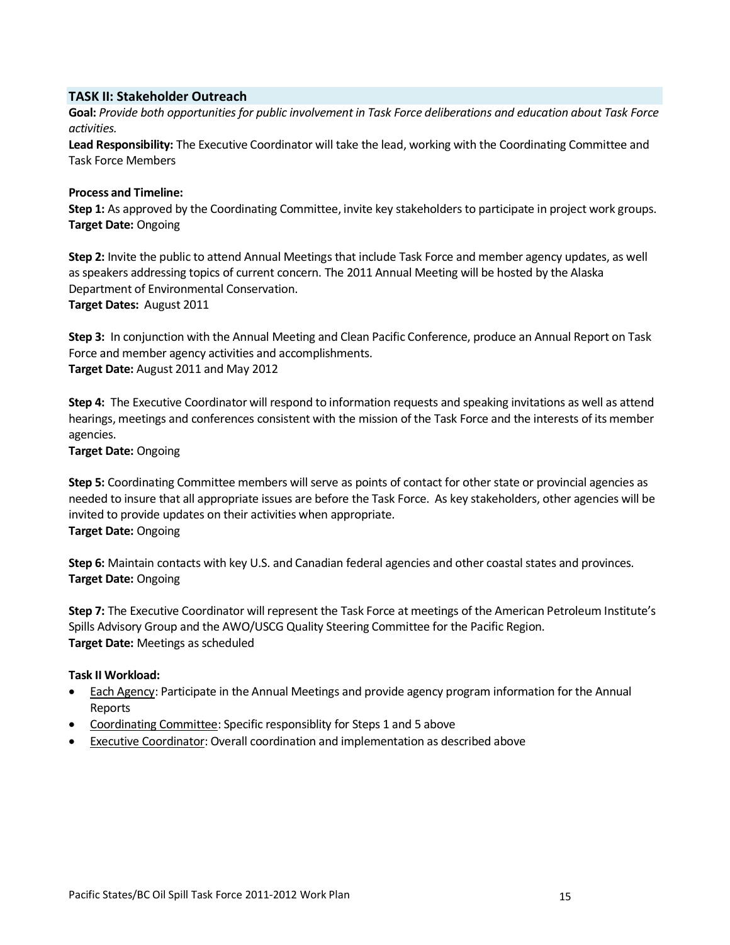#### **TASK II: Stakeholder Outreach**

**Goal:** *Provide both opportunities for public involvement in Task Force deliberations and education about Task Force activities.*

**Lead Responsibility:** The Executive Coordinator will take the lead, working with the Coordinating Committee and Task Force Members

#### **Process and Timeline:**

**Step 1:** As approved by the Coordinating Committee, invite key stakeholders to participate in project work groups. **Target Date:** Ongoing

**Step 2:** Invite the public to attend Annual Meetings that include Task Force and member agency updates, as well as speakers addressing topics of current concern. The 2011 Annual Meeting will be hosted by the Alaska Department of Environmental Conservation. **Target Dates:** August 2011

**Step 3:** In conjunction with the Annual Meeting and Clean Pacific Conference, produce an Annual Report on Task Force and member agency activities and accomplishments. **Target Date:** August 2011 and May 2012

**Step 4:** The Executive Coordinator will respond to information requests and speaking invitations as well as attend hearings, meetings and conferences consistent with the mission of the Task Force and the interests of its member agencies.

**Target Date:** Ongoing

**Step 5:** Coordinating Committee members will serve as points of contact for other state or provincial agencies as needed to insure that all appropriate issues are before the Task Force. As key stakeholders, other agencies will be invited to provide updates on their activities when appropriate. **Target Date:** Ongoing

**Step 6:** Maintain contacts with key U.S. and Canadian federal agencies and other coastal states and provinces. **Target Date:** Ongoing

**Step 7:** The Executive Coordinator will represent the Task Force at meetings of the American Petroleum Institute's Spills Advisory Group and the AWO/USCG Quality Steering Committee for the Pacific Region. **Target Date:** Meetings as scheduled

#### **Task II Workload:**

- Each Agency: Participate in the Annual Meetings and provide agency program information for the Annual Reports
- Coordinating Committee: Specific responsiblity for Steps 1 and 5 above
- Executive Coordinator: Overall coordination and implementation as described above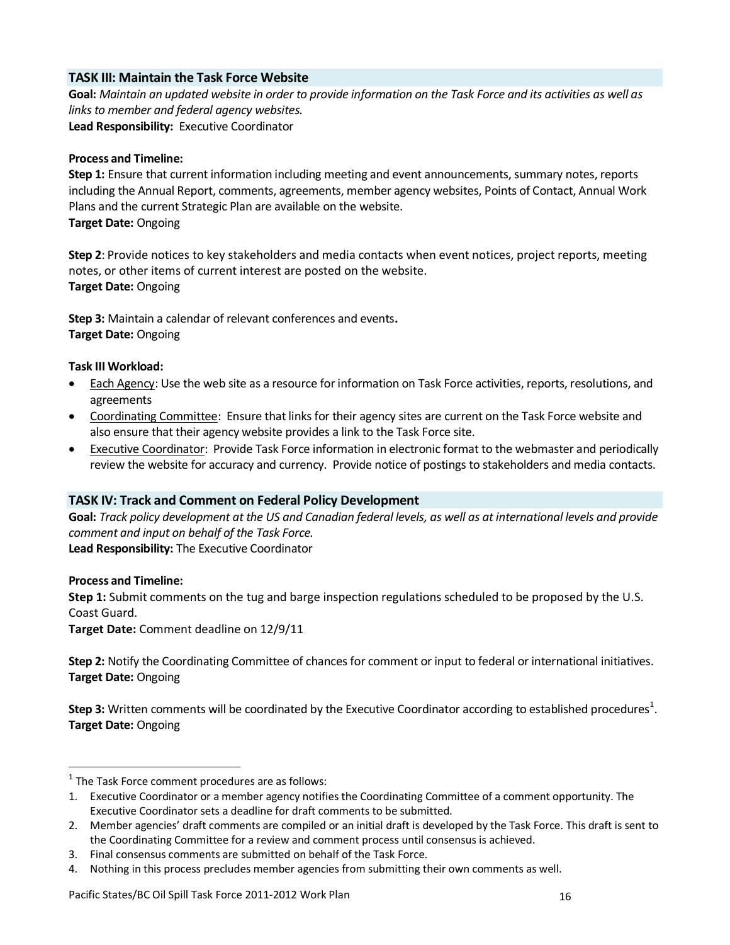### **TASK III: Maintain the Task Force Website**

**Goal:** *Maintain an updated website in order to provide information on the Task Force and its activities as well as links to member and federal agency websites.*  **Lead Responsibility:** Executive Coordinator

#### **Process and Timeline:**

**Step 1:** Ensure that current information including meeting and event announcements, summary notes, reports including the Annual Report, comments, agreements, member agency websites, Points of Contact, Annual Work Plans and the current Strategic Plan are available on the website. **Target Date:** Ongoing

**Step 2**: Provide notices to key stakeholders and media contacts when event notices, project reports, meeting notes, or other items of current interest are posted on the website. **Target Date:** Ongoing

**Step 3:** Maintain a calendar of relevant conferences and events**. Target Date:** Ongoing

### **Task III Workload:**

- Each Agency: Use the web site as a resource for information on Task Force activities, reports, resolutions, and agreements
- Coordinating Committee: Ensure that links for their agency sites are current on the Task Force website and also ensure that their agency website provides a link to the Task Force site.
- Executive Coordinator: Provide Task Force information in electronic format to the webmaster and periodically review the website for accuracy and currency. Provide notice of postings to stakeholders and media contacts.

## **TASK IV: Track and Comment on Federal Policy Development**

**Goal:** *Track policy development at the US and Canadian federal levels, as well as at international levels and provide comment and input on behalf of the Task Force.*  **Lead Responsibility:** The Executive Coordinator

#### **Process and Timeline:**

 $\overline{a}$ 

**Step 1:** Submit comments on the tug and barge inspection regulations scheduled to be proposed by the U.S. Coast Guard.

**Target Date:** Comment deadline on 12/9/11

**Step 2:** Notify the Coordinating Committee of chances for comment or input to federal or international initiatives. **Target Date:** Ongoing

**Step 3:** Written comments will be coordinated by the Executive Coordinator according to established procedures<sup>1</sup>. **Target Date:** Ongoing

 $<sup>1</sup>$  The Task Force comment procedures are as follows:</sup>

<sup>1.</sup> Executive Coordinator or a member agency notifies the Coordinating Committee of a comment opportunity. The Executive Coordinator sets a deadline for draft comments to be submitted.

<sup>2.</sup> Member agencies' draft comments are compiled or an initial draft is developed by the Task Force. This draft is sent to the Coordinating Committee for a review and comment process until consensus is achieved.

<sup>3.</sup> Final consensus comments are submitted on behalf of the Task Force.

<sup>4.</sup> Nothing in this process precludes member agencies from submitting their own comments as well.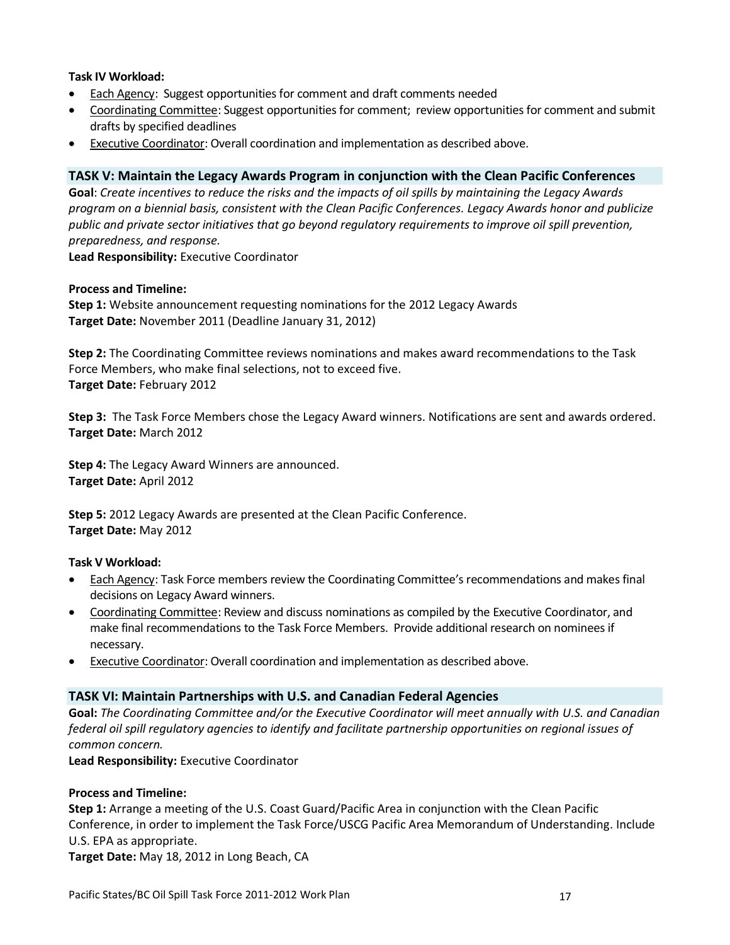#### **Task IV Workload:**

- Each Agency: Suggest opportunities for comment and draft comments needed
- Coordinating Committee: Suggest opportunities for comment; review opportunities for comment and submit drafts by specified deadlines
- **Executive Coordinator: Overall coordination and implementation as described above.**

#### **TASK V: Maintain the Legacy Awards Program in conjunction with the Clean Pacific Conferences**

**Goal**: *Create incentives to reduce the risks and the impacts of oil spills by maintaining the Legacy Awards program on a biennial basis, consistent with the Clean Pacific Conferences. Legacy Awards honor and publicize public and private sector initiatives that go beyond regulatory requirements to improve oil spill prevention, preparedness, and response.*

**Lead Responsibility:** Executive Coordinator

#### **Process and Timeline:**

**Step 1:** Website announcement requesting nominations for the 2012 Legacy Awards **Target Date:** November 2011 (Deadline January 31, 2012)

**Step 2:** The Coordinating Committee reviews nominations and makes award recommendations to the Task Force Members, who make final selections, not to exceed five. **Target Date:** February 2012

**Step 3:** The Task Force Members chose the Legacy Award winners. Notifications are sent and awards ordered. **Target Date:** March 2012

**Step 4:** The Legacy Award Winners are announced. **Target Date:** April 2012

**Step 5:** 2012 Legacy Awards are presented at the Clean Pacific Conference. **Target Date:** May 2012

#### **Task V Workload:**

- Each Agency: Task Force members review the Coordinating Committee's recommendations and makes final decisions on Legacy Award winners.
- Coordinating Committee: Review and discuss nominations as compiled by the Executive Coordinator, and make final recommendations to the Task Force Members. Provide additional research on nominees if necessary.
- **Executive Coordinator: Overall coordination and implementation as described above.**

#### **TASK VI: Maintain Partnerships with U.S. and Canadian Federal Agencies**

**Goal:** *The Coordinating Committee and/or the Executive Coordinator will meet annually with U.S. and Canadian federal oil spill regulatory agencies to identify and facilitate partnership opportunities on regional issues of common concern.*

**Lead Responsibility:** Executive Coordinator

#### **Process and Timeline:**

**Step 1:** Arrange a meeting of the U.S. Coast Guard/Pacific Area in conjunction with the Clean Pacific Conference, in order to implement the Task Force/USCG Pacific Area Memorandum of Understanding. Include U.S. EPA as appropriate.

**Target Date:** May 18, 2012 in Long Beach, CA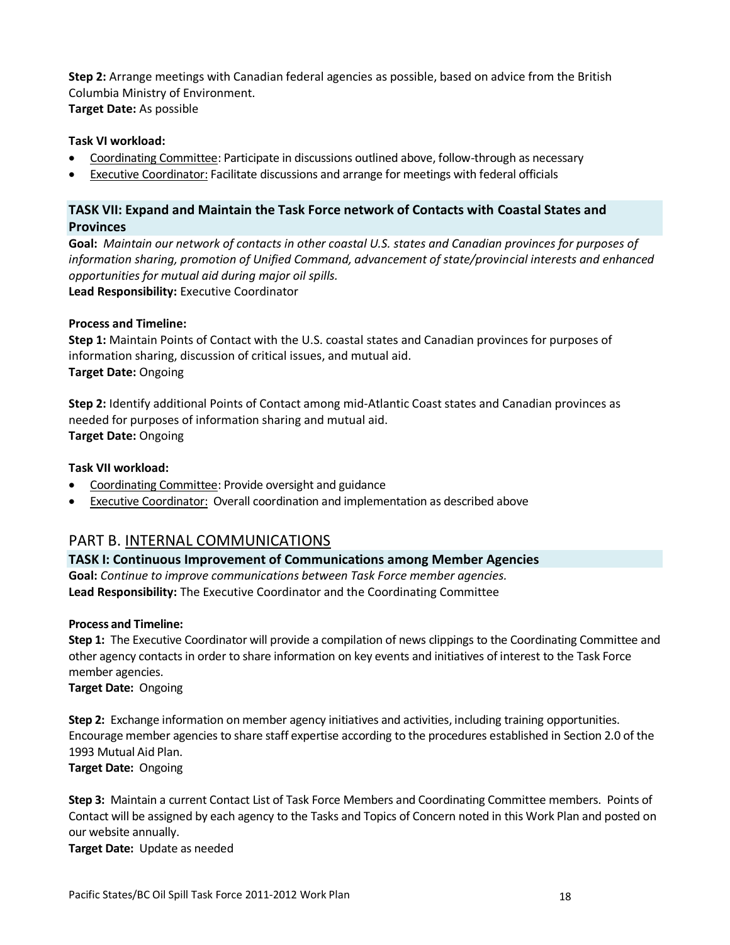**Step 2:** Arrange meetings with Canadian federal agencies as possible, based on advice from the British Columbia Ministry of Environment. **Target Date:** As possible

#### **Task VI workload:**

- Coordinating Committee: Participate in discussions outlined above, follow-through as necessary
- Executive Coordinator: Facilitate discussions and arrange for meetings with federal officials

## **TASK VII: Expand and Maintain the Task Force network of Contacts with Coastal States and Provinces**

**Goal:** *Maintain our network of contacts in other coastal U.S. states and Canadian provinces for purposes of information sharing, promotion of Unified Command, advancement of state/provincial interests and enhanced opportunities for mutual aid during major oil spills.*  **Lead Responsibility:** Executive Coordinator

#### **Process and Timeline:**

**Step 1:** Maintain Points of Contact with the U.S. coastal states and Canadian provinces for purposes of information sharing, discussion of critical issues, and mutual aid. **Target Date:** Ongoing

**Step 2:** Identify additional Points of Contact among mid-Atlantic Coast states and Canadian provinces as needed for purposes of information sharing and mutual aid. **Target Date:** Ongoing

#### **Task VII workload:**

- Coordinating Committee: Provide oversight and guidance
- Executive Coordinator: Overall coordination and implementation as described above

## PART B. INTERNAL COMMUNICATIONS

#### **TASK I: Continuous Improvement of Communications among Member Agencies**

**Goal:** *Continue to improve communications between Task Force member agencies.* **Lead Responsibility:** The Executive Coordinator and the Coordinating Committee

#### **Process and Timeline:**

**Step 1:** The Executive Coordinator will provide a compilation of news clippings to the Coordinating Committee and other agency contacts in order to share information on key events and initiatives of interest to the Task Force member agencies.

**Target Date:** Ongoing

**Step 2:** Exchange information on member agency initiatives and activities, including training opportunities. Encourage member agencies to share staff expertise according to the procedures established in Section 2.0 of the 1993 Mutual Aid Plan.

**Target Date:** Ongoing

**Step 3:** Maintain a current Contact List of Task Force Members and Coordinating Committee members. Points of Contact will be assigned by each agency to the Tasks and Topics of Concern noted in this Work Plan and posted on our website annually.

**Target Date:** Update as needed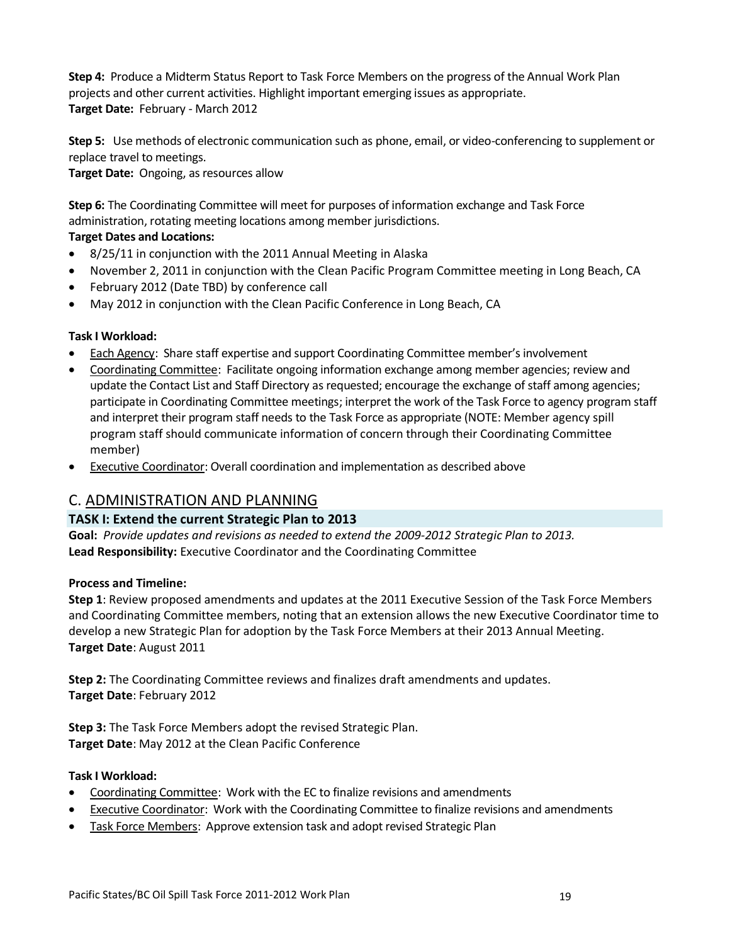**Step 4:** Produce a Midterm Status Report to Task Force Members on the progress of the Annual Work Plan projects and other current activities. Highlight important emerging issues as appropriate. **Target Date:** February - March 2012

**Step 5:** Use methods of electronic communication such as phone, email, or video-conferencing to supplement or replace travel to meetings.

**Target Date:** Ongoing, as resources allow

**Step 6:** The Coordinating Committee will meet for purposes of information exchange and Task Force administration, rotating meeting locations among member jurisdictions.

## **Target Dates and Locations:**

- 8/25/11 in conjunction with the 2011 Annual Meeting in Alaska
- November 2, 2011 in conjunction with the Clean Pacific Program Committee meeting in Long Beach, CA
- February 2012 (Date TBD) by conference call
- May 2012 in conjunction with the Clean Pacific Conference in Long Beach, CA

## **Task I Workload:**

- Each Agency: Share staff expertise and support Coordinating Committee member's involvement
- Coordinating Committee: Facilitate ongoing information exchange among member agencies; review and update the Contact List and Staff Directory as requested; encourage the exchange of staff among agencies; participate in Coordinating Committee meetings; interpret the work of the Task Force to agency program staff and interpret their program staff needs to the Task Force as appropriate (NOTE: Member agency spill program staff should communicate information of concern through their Coordinating Committee member)
- **Executive Coordinator: Overall coordination and implementation as described above**

## C. ADMINISTRATION AND PLANNING

## **TASK I: Extend the current Strategic Plan to 2013**

**Goal:** *Provide updates and revisions as needed to extend the 2009-2012 Strategic Plan to 2013.* **Lead Responsibility:** Executive Coordinator and the Coordinating Committee

## **Process and Timeline:**

**Step 1**: Review proposed amendments and updates at the 2011 Executive Session of the Task Force Members and Coordinating Committee members, noting that an extension allows the new Executive Coordinator time to develop a new Strategic Plan for adoption by the Task Force Members at their 2013 Annual Meeting. **Target Date**: August 2011

**Step 2:** The Coordinating Committee reviews and finalizes draft amendments and updates. **Target Date**: February 2012

**Step 3:** The Task Force Members adopt the revised Strategic Plan. **Target Date**: May 2012 at the Clean Pacific Conference

#### **Task I Workload:**

- Coordinating Committee: Work with the EC to finalize revisions and amendments
- Executive Coordinator: Work with the Coordinating Committee to finalize revisions and amendments
- Task Force Members: Approve extension task and adopt revised Strategic Plan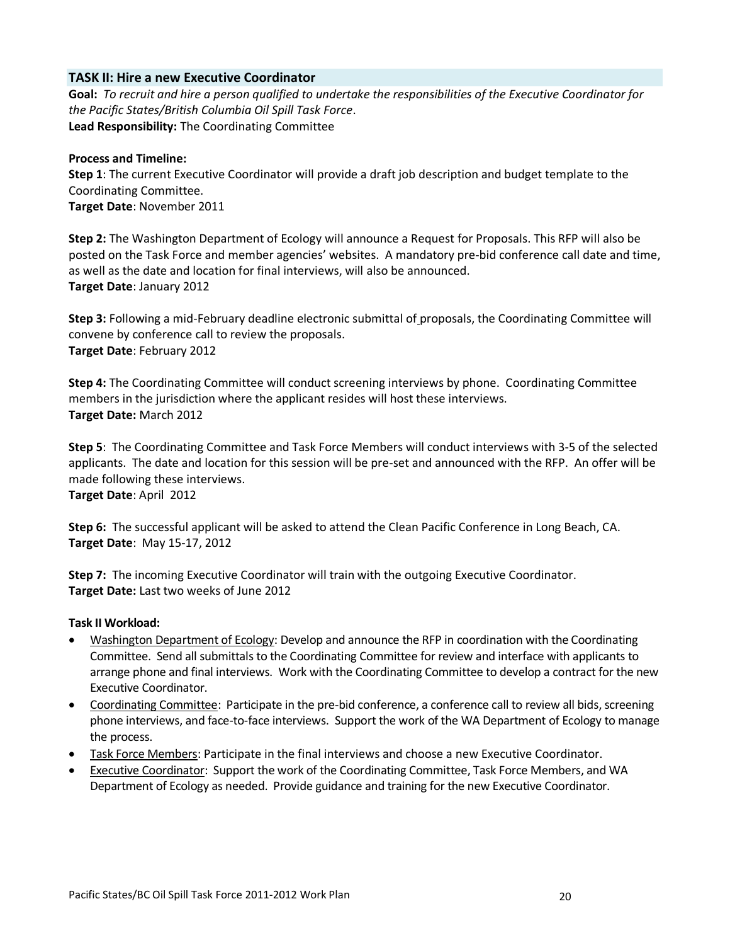#### **TASK II: Hire a new Executive Coordinator**

**Goal:** *To recruit and hire a person qualified to undertake the responsibilities of the Executive Coordinator for the Pacific States/British Columbia Oil Spill Task Force*. **Lead Responsibility:** The Coordinating Committee

#### **Process and Timeline:**

**Step 1**: The current Executive Coordinator will provide a draft job description and budget template to the Coordinating Committee. **Target Date**: November 2011

**Step 2:** The Washington Department of Ecology will announce a Request for Proposals. This RFP will also be posted on the Task Force and member agencies' websites. A mandatory pre-bid conference call date and time, as well as the date and location for final interviews, will also be announced. **Target Date**: January 2012

**Step 3:** Following a mid-February deadline electronic submittal of proposals, the Coordinating Committee will convene by conference call to review the proposals. **Target Date**: February 2012

**Step 4:** The Coordinating Committee will conduct screening interviews by phone. Coordinating Committee members in the jurisdiction where the applicant resides will host these interviews. **Target Date:** March 2012

**Step 5**: The Coordinating Committee and Task Force Members will conduct interviews with 3-5 of the selected applicants. The date and location for this session will be pre-set and announced with the RFP. An offer will be made following these interviews.

**Target Date**: April 2012

**Step 6:** The successful applicant will be asked to attend the Clean Pacific Conference in Long Beach, CA. **Target Date**: May 15-17, 2012

**Step 7:** The incoming Executive Coordinator will train with the outgoing Executive Coordinator. **Target Date:** Last two weeks of June 2012

#### **Task II Workload:**

- Washington Department of Ecology: Develop and announce the RFP in coordination with the Coordinating Committee. Send all submittals to the Coordinating Committee for review and interface with applicants to arrange phone and final interviews. Work with the Coordinating Committee to develop a contract for the new Executive Coordinator.
- Coordinating Committee: Participate in the pre-bid conference, a conference call to review all bids, screening phone interviews, and face-to-face interviews. Support the work of the WA Department of Ecology to manage the process.
- Task Force Members: Participate in the final interviews and choose a new Executive Coordinator.
- Executive Coordinator: Support the work of the Coordinating Committee, Task Force Members, and WA Department of Ecology as needed. Provide guidance and training for the new Executive Coordinator.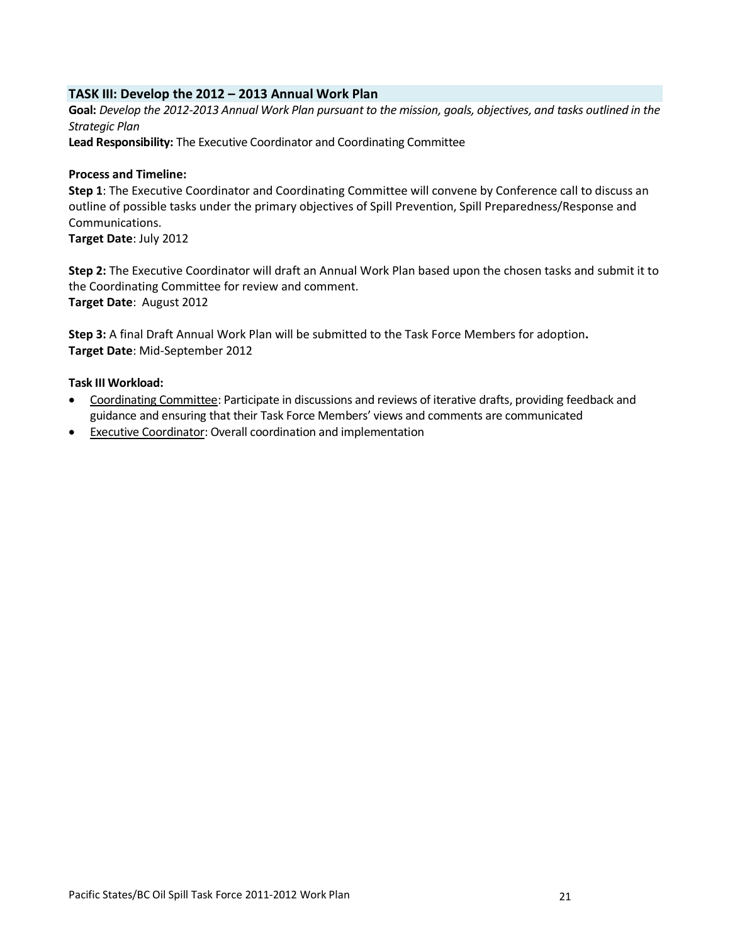#### **TASK III: Develop the 2012 – 2013 Annual Work Plan**

**Goal:** *Develop the 2012-2013 Annual Work Plan pursuant to the mission, goals, objectives, and tasks outlined in the Strategic Plan*

**Lead Responsibility:** The Executive Coordinator and Coordinating Committee

#### **Process and Timeline:**

**Step 1**: The Executive Coordinator and Coordinating Committee will convene by Conference call to discuss an outline of possible tasks under the primary objectives of Spill Prevention, Spill Preparedness/Response and Communications.

**Target Date**: July 2012

**Step 2:** The Executive Coordinator will draft an Annual Work Plan based upon the chosen tasks and submit it to the Coordinating Committee for review and comment. **Target Date**: August 2012

**Step 3:** A final Draft Annual Work Plan will be submitted to the Task Force Members for adoption**. Target Date**: Mid-September 2012

#### **Task III Workload:**

- Coordinating Committee: Participate in discussions and reviews of iterative drafts, providing feedback and guidance and ensuring that their Task Force Members' views and comments are communicated
- **Executive Coordinator: Overall coordination and implementation**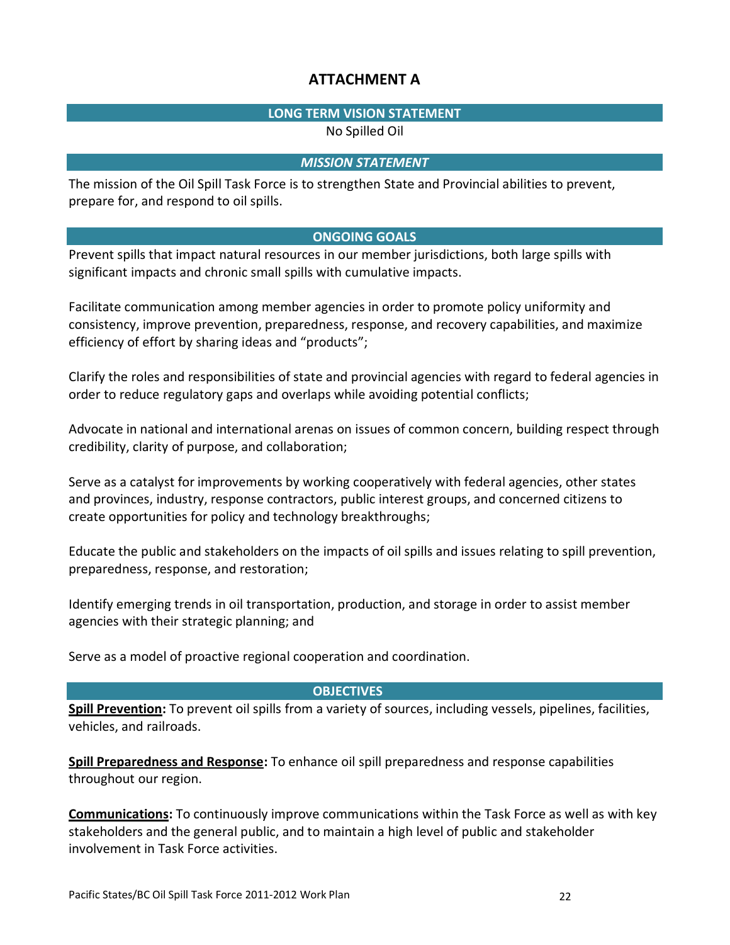## **ATTACHMENT A**

## **LONG TERM VISION STATEMENT**

No Spilled Oil

### *MISSION STATEMENT*

The mission of the Oil Spill Task Force is to strengthen State and Provincial abilities to prevent, prepare for, and respond to oil spills.

## **ONGOING GOALS**

Prevent spills that impact natural resources in our member jurisdictions, both large spills with significant impacts and chronic small spills with cumulative impacts.

Facilitate communication among member agencies in order to promote policy uniformity and consistency, improve prevention, preparedness, response, and recovery capabilities, and maximize efficiency of effort by sharing ideas and "products";

Clarify the roles and responsibilities of state and provincial agencies with regard to federal agencies in order to reduce regulatory gaps and overlaps while avoiding potential conflicts;

Advocate in national and international arenas on issues of common concern, building respect through credibility, clarity of purpose, and collaboration;

Serve as a catalyst for improvements by working cooperatively with federal agencies, other states and provinces, industry, response contractors, public interest groups, and concerned citizens to create opportunities for policy and technology breakthroughs;

Educate the public and stakeholders on the impacts of oil spills and issues relating to spill prevention, preparedness, response, and restoration;

Identify emerging trends in oil transportation, production, and storage in order to assist member agencies with their strategic planning; and

Serve as a model of proactive regional cooperation and coordination.

## **OBJECTIVES**

**Spill Prevention:** To prevent oil spills from a variety of sources, including vessels, pipelines, facilities, vehicles, and railroads.

**Spill Preparedness and Response:** To enhance oil spill preparedness and response capabilities throughout our region.

**Communications:** To continuously improve communications within the Task Force as well as with key stakeholders and the general public, and to maintain a high level of public and stakeholder involvement in Task Force activities.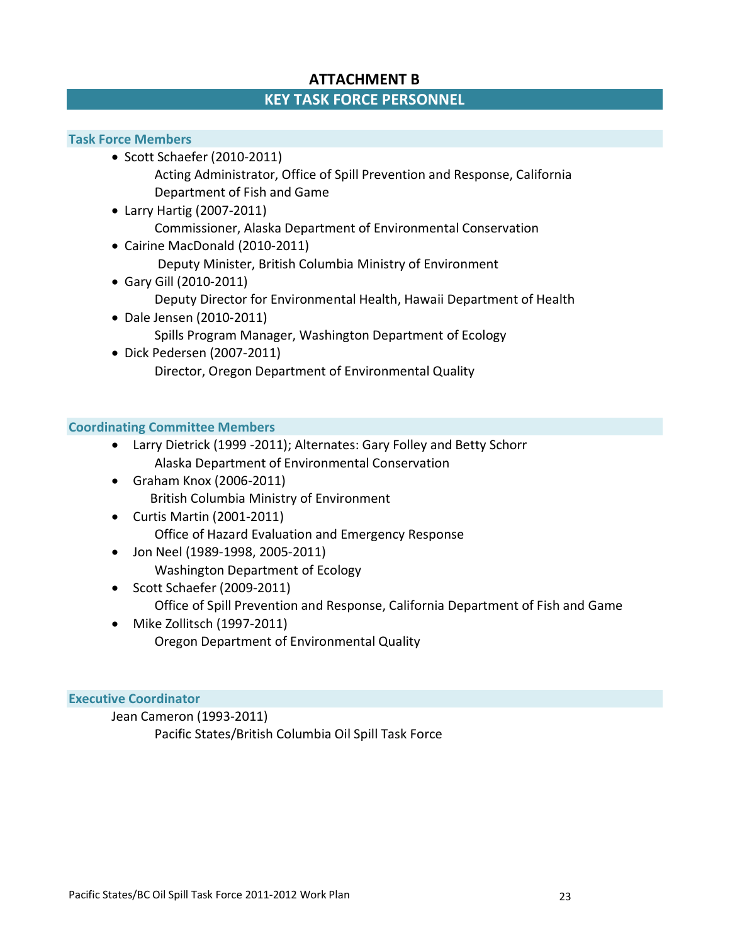## **ATTACHMENT B**

## **KEY TASK FORCE PERSONNEL**

#### **Task Force Members**

- Scott Schaefer (2010-2011) Acting Administrator, Office of Spill Prevention and Response, California Department of Fish and Game
- Larry Hartig (2007-2011) Commissioner, Alaska Department of Environmental Conservation
- Cairine MacDonald (2010-2011) Deputy Minister, British Columbia Ministry of Environment
- Gary Gill (2010-2011) Deputy Director for Environmental Health, Hawaii Department of Health
- Dale Jensen (2010-2011) Spills Program Manager, Washington Department of Ecology
- Dick Pedersen (2007-2011) Director, Oregon Department of Environmental Quality

## **Coordinating Committee Members**

- Larry Dietrick (1999 -2011); Alternates: Gary Folley and Betty Schorr Alaska Department of Environmental Conservation
- Graham Knox (2006-2011) British Columbia Ministry of Environment
- Curtis Martin (2001-2011) Office of Hazard Evaluation and Emergency Response
- Jon Neel (1989-1998, 2005-2011) Washington Department of Ecology
- Scott Schaefer (2009-2011) Office of Spill Prevention and Response, California Department of Fish and Game
- Mike Zollitsch (1997-2011) Oregon Department of Environmental Quality

#### **Executive Coordinator**

Jean Cameron (1993-2011) Pacific States/British Columbia Oil Spill Task Force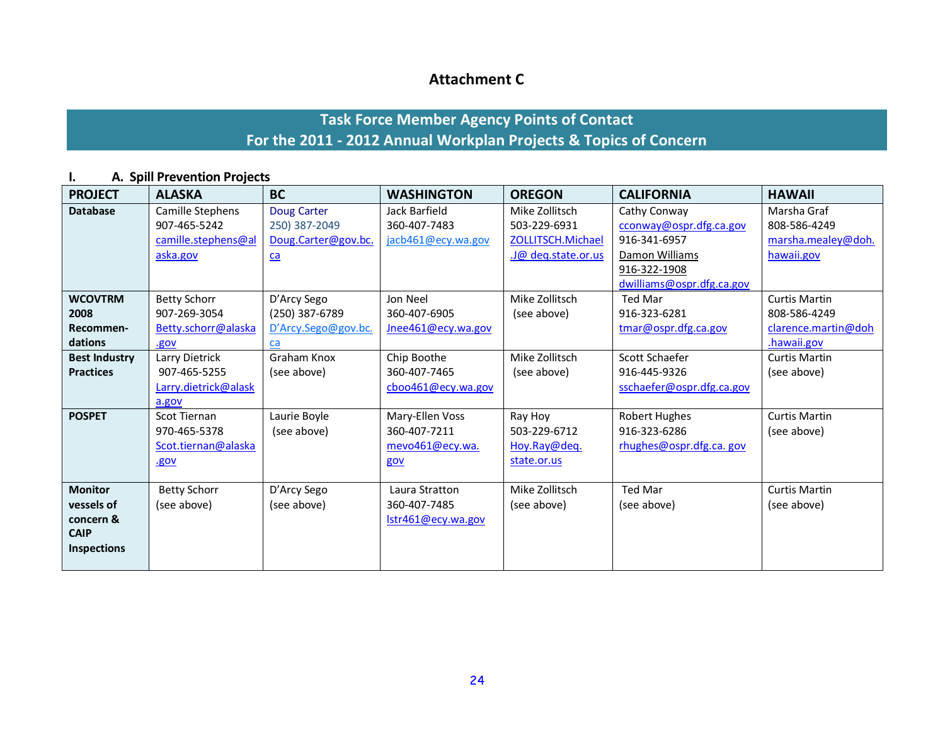## **Attachment C**

# **Task Force Member Agency Points of Contact For the 2011 - 2012 Annual Workplan Projects & Topics of Concern**

## **I. A. Spill Prevention Projects**

| <b>PROJECT</b>       | <b>ALASKA</b>        | <b>BC</b>           | <b>WASHINGTON</b>  | <b>OREGON</b>      | <b>CALIFORNIA</b>         | <b>HAWAII</b>        |
|----------------------|----------------------|---------------------|--------------------|--------------------|---------------------------|----------------------|
| <b>Database</b>      | Camille Stephens     | Doug Carter         | Jack Barfield      | Mike Zollitsch     | Cathy Conway              | Marsha Graf          |
|                      | 907-465-5242         | 250) 387-2049       | 360-407-7483       | 503-229-6931       | cconway@ospr.dfg.ca.gov   | 808-586-4249         |
|                      | camille.stephens@al  | Doug.Carter@gov.bc. | jacb461@ecy.wa.gov | ZOLLITSCH.Michael  | 916-341-6957              | marsha.mealey@doh.   |
|                      | aska.gov             | $ca$                |                    | J@ deq.state.or.us | Damon Williams            | hawaii.gov           |
|                      |                      |                     |                    |                    | 916-322-1908              |                      |
|                      |                      |                     |                    |                    | dwilliams@ospr.dfg.ca.gov |                      |
| <b>WCOVTRM</b>       | <b>Betty Schorr</b>  | D'Arcy Sego         | Jon Neel           | Mike Zollitsch     | <b>Ted Mar</b>            | <b>Curtis Martin</b> |
| 2008                 | 907-269-3054         | (250) 387-6789      | 360-407-6905       | (see above)        | 916-323-6281              | 808-586-4249         |
| Recommen-            | Betty.schorr@alaska  | D'Arcy.Sego@gov.bc. | Jnee461@ecy.wa.gov |                    | tmar@ospr.dfg.ca.gov      | clarence.martin@doh  |
| dations              | .gov                 | ca                  |                    |                    |                           | .hawaii.gov          |
| <b>Best Industry</b> | Larry Dietrick       | Graham Knox         | Chip Boothe        | Mike Zollitsch     | Scott Schaefer            | <b>Curtis Martin</b> |
| <b>Practices</b>     | 907-465-5255         | (see above)         | 360-407-7465       | (see above)        | 916-445-9326              | (see above)          |
|                      | Larry.dietrick@alask |                     | cboo461@ecy.wa.gov |                    | sschaefer@ospr.dfg.ca.gov |                      |
|                      | a.gov                |                     |                    |                    |                           |                      |
| <b>POSPET</b>        | Scot Tiernan         | Laurie Boyle        | Mary-Ellen Voss    | Ray Hoy            | <b>Robert Hughes</b>      | <b>Curtis Martin</b> |
|                      | 970-465-5378         | (see above)         | 360-407-7211       | 503-229-6712       | 916-323-6286              | (see above)          |
|                      | Scot.tiernan@alaska  |                     | mevo461@ecy.wa.    | Hoy.Ray@deq.       | rhughes@ospr.dfg.ca.gov   |                      |
|                      | .gov                 |                     | gov                | state.or.us        |                           |                      |
|                      |                      |                     |                    |                    |                           |                      |
| <b>Monitor</b>       | <b>Betty Schorr</b>  | D'Arcy Sego         | Laura Stratton     | Mike Zollitsch     | <b>Ted Mar</b>            | <b>Curtis Martin</b> |
| vessels of           | (see above)          | (see above)         | 360-407-7485       | (see above)        | (see above)               | (see above)          |
| concern &            |                      |                     | Istr461@ecy.wa.gov |                    |                           |                      |
| <b>CAIP</b>          |                      |                     |                    |                    |                           |                      |
| <b>Inspections</b>   |                      |                     |                    |                    |                           |                      |
|                      |                      |                     |                    |                    |                           |                      |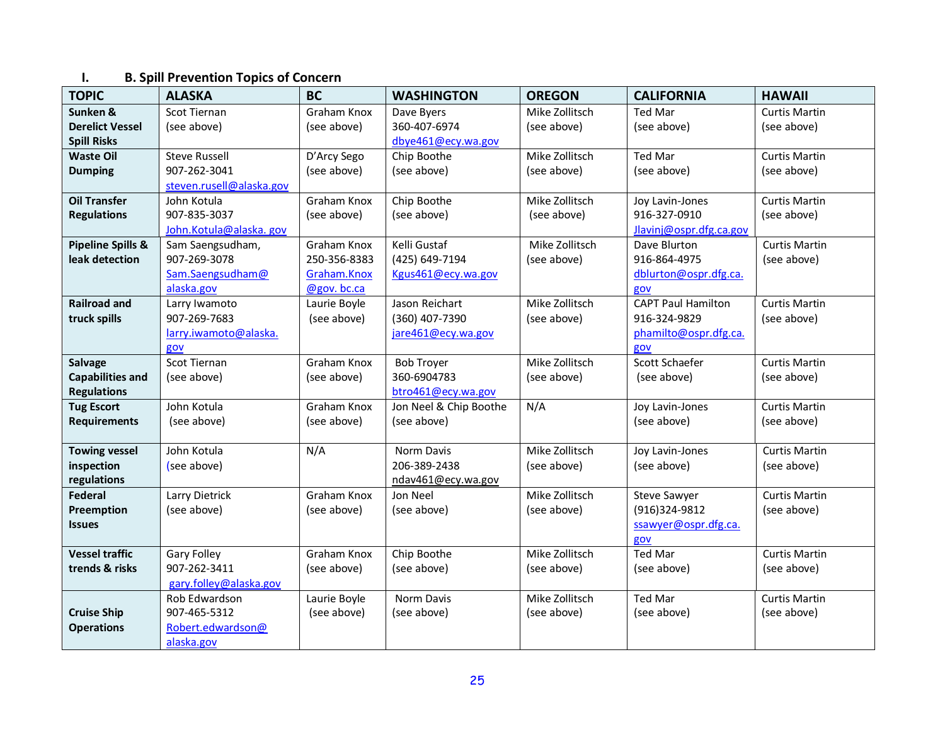## **I. B. Spill Prevention Topics of Concern**

| <b>TOPIC</b>                  | <b>ALASKA</b>            | <b>BC</b>          | <b>WASHINGTON</b>              | <b>OREGON</b>  | <b>CALIFORNIA</b>                    | <b>HAWAII</b>        |
|-------------------------------|--------------------------|--------------------|--------------------------------|----------------|--------------------------------------|----------------------|
| Sunken &                      | Scot Tiernan             | Graham Knox        | Dave Byers                     | Mike Zollitsch | Ted Mar                              | <b>Curtis Martin</b> |
| <b>Derelict Vessel</b>        | (see above)              | (see above)        | 360-407-6974                   | (see above)    | (see above)                          | (see above)          |
| <b>Spill Risks</b>            |                          |                    | dbye461@ecy.wa.gov             |                |                                      |                      |
| <b>Waste Oil</b>              | <b>Steve Russell</b>     | D'Arcy Sego        | Chip Boothe                    | Mike Zollitsch | Ted Mar                              | Curtis Martin        |
| <b>Dumping</b>                | 907-262-3041             | (see above)        | (see above)                    | (see above)    | (see above)                          | (see above)          |
|                               | steven.rusell@alaska.gov |                    |                                |                |                                      |                      |
| <b>Oil Transfer</b>           | John Kotula              | Graham Knox        | Chip Boothe                    | Mike Zollitsch | Joy Lavin-Jones                      | <b>Curtis Martin</b> |
| <b>Regulations</b>            | 907-835-3037             | (see above)        | (see above)                    | (see above)    | 916-327-0910                         | (see above)          |
|                               | John.Kotula@alaska.gov   |                    |                                |                | Jlavinj@ospr.dfg.ca.gov              |                      |
| <b>Pipeline Spills &amp;</b>  | Sam Saengsudham,         | Graham Knox        | Kelli Gustaf                   | Mike Zollitsch | Dave Blurton                         | <b>Curtis Martin</b> |
| leak detection                | 907-269-3078             | 250-356-8383       | (425) 649-7194                 | (see above)    | 916-864-4975                         | (see above)          |
|                               | Sam.Saengsudham@         | Graham.Knox        | Kgus461@ecy.wa.gov             |                | dblurton@ospr.dfg.ca.                |                      |
|                               | alaska.gov               | @gov.bc.ca         |                                |                | gov                                  |                      |
| <b>Railroad and</b>           | Larry Iwamoto            | Laurie Boyle       | Jason Reichart                 | Mike Zollitsch | <b>CAPT Paul Hamilton</b>            | <b>Curtis Martin</b> |
| truck spills                  | 907-269-7683             | (see above)        | (360) 407-7390                 | (see above)    | 916-324-9829                         | (see above)          |
|                               | larry.iwamoto@alaska.    |                    | jare461@ecy.wa.gov             |                | phamilto@ospr.dfg.ca.                |                      |
|                               | gov                      |                    |                                |                | gov                                  |                      |
| <b>Salvage</b>                | Scot Tiernan             | Graham Knox        | <b>Bob Troyer</b>              | Mike Zollitsch | Scott Schaefer                       | <b>Curtis Martin</b> |
| <b>Capabilities and</b>       | (see above)              | (see above)        | 360-6904783                    | (see above)    | (see above)                          | (see above)          |
| <b>Regulations</b>            |                          |                    | btro461@ecy.wa.gov             |                |                                      |                      |
| <b>Tug Escort</b>             | John Kotula              | Graham Knox        | Jon Neel & Chip Boothe         | N/A            | Joy Lavin-Jones                      | <b>Curtis Martin</b> |
| <b>Requirements</b>           | (see above)              | (see above)        | (see above)                    |                | (see above)                          | (see above)          |
|                               |                          |                    |                                |                |                                      |                      |
| <b>Towing vessel</b>          | John Kotula              | N/A                | Norm Davis                     | Mike Zollitsch | Joy Lavin-Jones                      | <b>Curtis Martin</b> |
| inspection                    | (see above)              |                    | 206-389-2438                   | (see above)    | (see above)                          | (see above)          |
| regulations<br><b>Federal</b> | Larry Dietrick           | <b>Graham Knox</b> | ndav461@ecy.wa.gov<br>Jon Neel | Mike Zollitsch |                                      | <b>Curtis Martin</b> |
| Preemption                    | (see above)              | (see above)        | (see above)                    | (see above)    | <b>Steve Sawyer</b><br>(916)324-9812 | (see above)          |
| <b>Issues</b>                 |                          |                    |                                |                | ssawyer@ospr.dfg.ca.                 |                      |
|                               |                          |                    |                                |                |                                      |                      |
| <b>Vessel traffic</b>         | Gary Folley              | Graham Knox        | Chip Boothe                    | Mike Zollitsch | gov<br>Ted Mar                       | <b>Curtis Martin</b> |
| trends & risks                | 907-262-3411             | (see above)        | (see above)                    | (see above)    | (see above)                          | (see above)          |
|                               | gary.folley@alaska.gov   |                    |                                |                |                                      |                      |
|                               | Rob Edwardson            | Laurie Boyle       | <b>Norm Davis</b>              | Mike Zollitsch | <b>Ted Mar</b>                       | <b>Curtis Martin</b> |
| <b>Cruise Ship</b>            | 907-465-5312             | (see above)        | (see above)                    | (see above)    | (see above)                          | (see above)          |
| <b>Operations</b>             | Robert.edwardson@        |                    |                                |                |                                      |                      |
|                               | alaska.gov               |                    |                                |                |                                      |                      |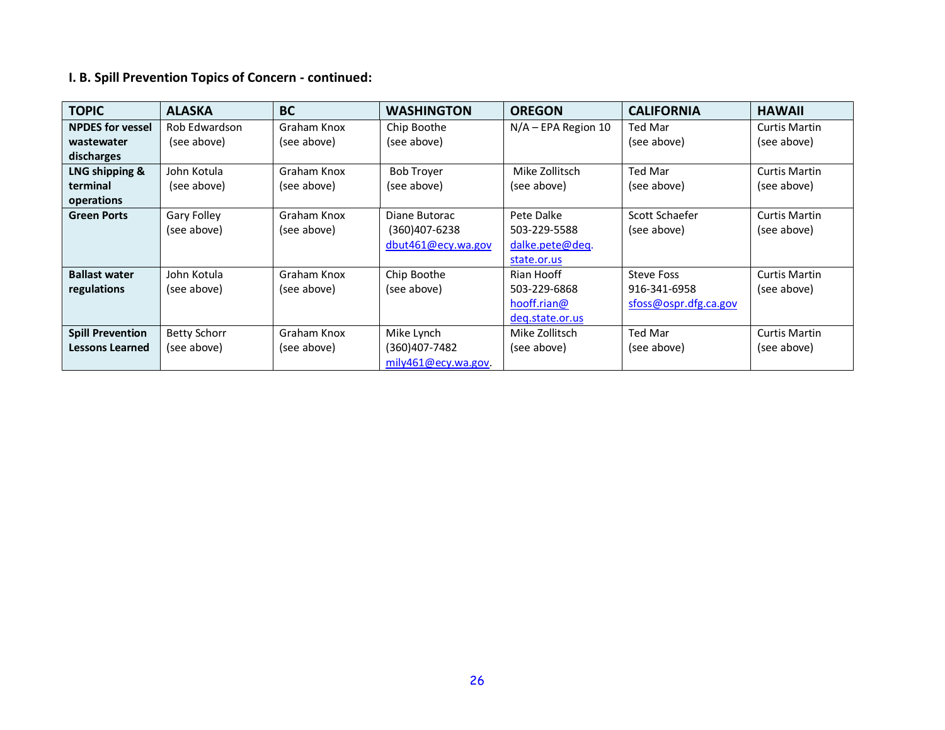# **I. B. Spill Prevention Topics of Concern - continued:**

| <b>TOPIC</b>            | <b>ALASKA</b>       | <b>BC</b>   | <b>WASHINGTON</b>   | <b>OREGON</b>         | <b>CALIFORNIA</b>     | <b>HAWAII</b>        |
|-------------------------|---------------------|-------------|---------------------|-----------------------|-----------------------|----------------------|
| <b>NPDES for vessel</b> | Rob Edwardson       | Graham Knox | Chip Boothe         | $N/A$ – EPA Region 10 | Ted Mar               | <b>Curtis Martin</b> |
| wastewater              | (see above)         | (see above) | (see above)         |                       | (see above)           | (see above)          |
| discharges              |                     |             |                     |                       |                       |                      |
| LNG shipping &          | John Kotula         | Graham Knox | <b>Bob Trover</b>   | Mike Zollitsch        | Ted Mar               | Curtis Martin        |
| terminal                | (see above)         | (see above) | (see above)         | (see above)           | (see above)           | (see above)          |
| operations              |                     |             |                     |                       |                       |                      |
| <b>Green Ports</b>      | Gary Folley         | Graham Knox | Diane Butorac       | Pete Dalke            | Scott Schaefer        | <b>Curtis Martin</b> |
|                         | (see above)         | (see above) | $(360)407 - 6238$   | 503-229-5588          | (see above)           | (see above)          |
|                         |                     |             | dbut461@ecy.wa.gov  | dalke.pete@deq.       |                       |                      |
|                         |                     |             |                     | state.or.us           |                       |                      |
| <b>Ballast water</b>    | John Kotula         | Graham Knox | Chip Boothe         | Rian Hooff            | <b>Steve Foss</b>     | <b>Curtis Martin</b> |
| regulations             | (see above)         | (see above) | (see above)         | 503-229-6868          | 916-341-6958          | (see above)          |
|                         |                     |             |                     | hooff.rian@           | sfoss@ospr.dfg.ca.gov |                      |
|                         |                     |             |                     | deq.state.or.us       |                       |                      |
| <b>Spill Prevention</b> | <b>Betty Schorr</b> | Graham Knox | Mike Lynch          | Mike Zollitsch        | Ted Mar               | <b>Curtis Martin</b> |
| <b>Lessons Learned</b>  | (see above)         | (see above) | (360)407-7482       | (see above)           | (see above)           | (see above)          |
|                         |                     |             | mily461@ecy.wa.gov. |                       |                       |                      |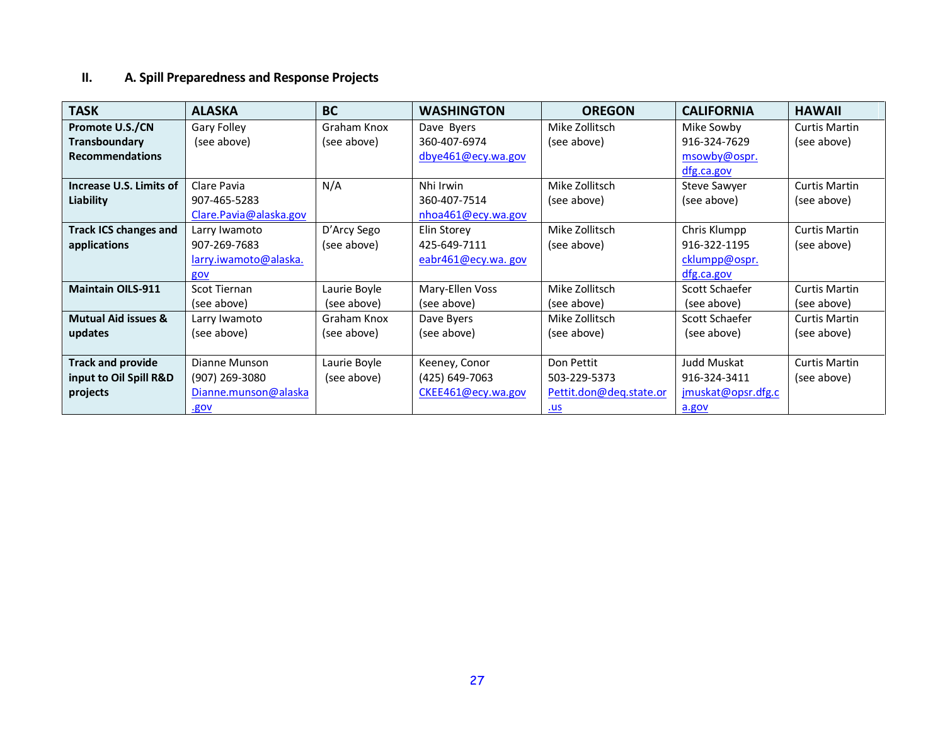## **II. A. Spill Preparedness and Response Projects**

| <b>TASK</b>                    | <b>ALASKA</b>           | <b>BC</b>    | <b>WASHINGTON</b>     | <b>OREGON</b>           | <b>CALIFORNIA</b>  | <b>HAWAII</b>        |
|--------------------------------|-------------------------|--------------|-----------------------|-------------------------|--------------------|----------------------|
| <b>Promote U.S./CN</b>         | Gary Folley             | Graham Knox  | Dave Byers            | Mike Zollitsch          | Mike Sowby         | <b>Curtis Martin</b> |
| Transboundary                  | (see above)             | (see above)  | 360-407-6974          | (see above)             | 916-324-7629       | (see above)          |
| <b>Recommendations</b>         |                         |              | dbye461@ecy.wa.gov    |                         | msowby@ospr.       |                      |
|                                |                         |              |                       |                         | dfg.ca.gov         |                      |
| Increase U.S. Limits of        | Clare Pavia             | N/A          | Nhi Irwin             | Mike Zollitsch          | Steve Sawyer       | Curtis Martin        |
| Liability                      | 907-465-5283            |              | 360-407-7514          | (see above)             | (see above)        | (see above)          |
|                                | Clare. Pavia@alaska.gov |              | $n$ hoa461@ecy.wa.gov |                         |                    |                      |
| <b>Track ICS changes and</b>   | Larry Iwamoto           | D'Arcy Sego  | Elin Storey           | Mike Zollitsch          | Chris Klumpp       | <b>Curtis Martin</b> |
| applications                   | 907-269-7683            | (see above)  | 425-649-7111          | (see above)             | 916-322-1195       | (see above)          |
|                                | larry.iwamoto@alaska.   |              | eabr461@ecy.wa.gov    |                         | cklumpp@ospr.      |                      |
|                                | gov                     |              |                       |                         | dfg.ca.gov         |                      |
| <b>Maintain OILS-911</b>       | Scot Tiernan            | Laurie Boyle | Mary-Ellen Voss       | Mike Zollitsch          | Scott Schaefer     | <b>Curtis Martin</b> |
|                                | (see above)             | (see above)  | (see above)           | (see above)             | (see above)        | (see above)          |
| <b>Mutual Aid issues &amp;</b> | Larry Iwamoto           | Graham Knox  | Dave Byers            | Mike Zollitsch          | Scott Schaefer     | <b>Curtis Martin</b> |
| updates                        | (see above)             | (see above)  | (see above)           | (see above)             | (see above)        | (see above)          |
|                                |                         |              |                       |                         |                    |                      |
| <b>Track and provide</b>       | Dianne Munson           | Laurie Boyle | Keeney, Conor         | Don Pettit              | Judd Muskat        | <b>Curtis Martin</b> |
| input to Oil Spill R&D         | $(907)$ 269-3080        | (see above)  | (425) 649-7063        | 503-229-5373            | 916-324-3411       | (see above)          |
| projects                       | Dianne.munson@alaska    |              | CKEE461@ecy.wa.gov    | Pettit.don@deq.state.or | jmuskat@opsr.dfg.c |                      |
|                                | .gov                    |              |                       | <u>.us</u>              | a.gov              |                      |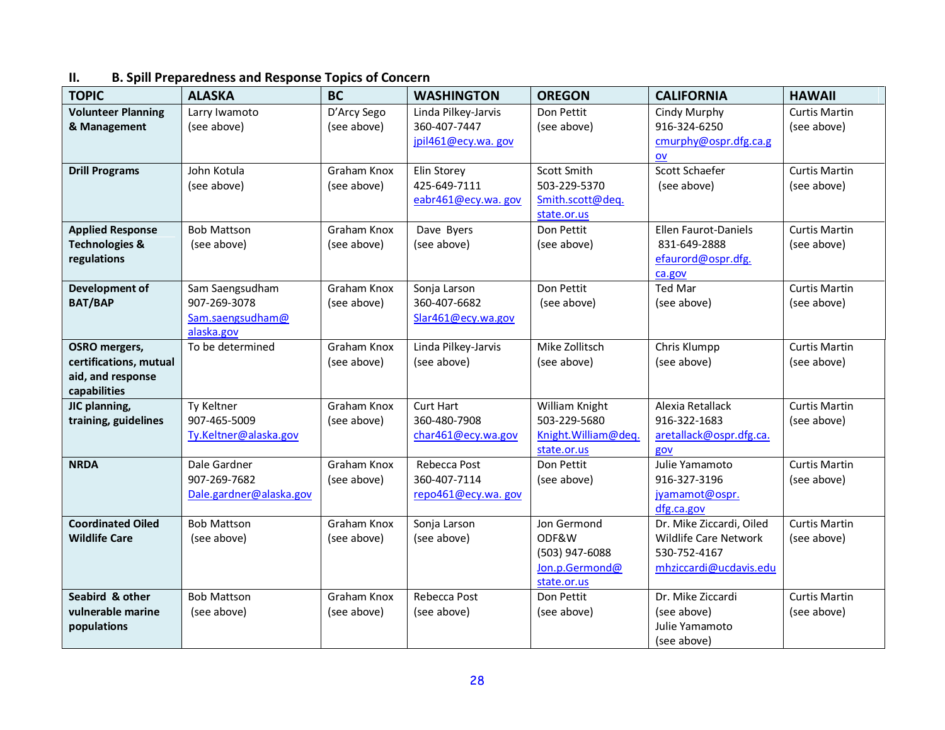## **II. B. Spill Preparedness and Response Topics of Concern**

| <b>TOPIC</b>              | <b>ALASKA</b>              | <b>BC</b>   | <b>WASHINGTON</b>   | <b>OREGON</b>                  | <b>CALIFORNIA</b>           | <b>HAWAII</b>        |
|---------------------------|----------------------------|-------------|---------------------|--------------------------------|-----------------------------|----------------------|
| <b>Volunteer Planning</b> | Larry Iwamoto              | D'Arcy Sego | Linda Pilkey-Jarvis | Don Pettit                     | Cindy Murphy                | <b>Curtis Martin</b> |
| & Management              | (see above)                | (see above) | 360-407-7447        | (see above)                    | 916-324-6250                | (see above)          |
|                           |                            |             | jpil461@ecy.wa.gov  |                                | cmurphy@ospr.dfg.ca.g       |                      |
|                           |                            |             |                     |                                | $\mathbf{O}$                |                      |
| <b>Drill Programs</b>     | John Kotula                | Graham Knox | Elin Storey         | Scott Smith                    | Scott Schaefer              | <b>Curtis Martin</b> |
|                           | (see above)                | (see above) | 425-649-7111        | 503-229-5370                   | (see above)                 | (see above)          |
|                           |                            |             | eabr461@ecy.wa.gov  | Smith.scott@deq.               |                             |                      |
| <b>Applied Response</b>   | <b>Bob Mattson</b>         | Graham Knox | Dave Byers          | state.or.us<br>Don Pettit      | <b>Ellen Faurot-Daniels</b> | <b>Curtis Martin</b> |
| <b>Technologies &amp;</b> | (see above)                | (see above) | (see above)         | (see above)                    | 831-649-2888                | (see above)          |
| regulations               |                            |             |                     |                                | efaurord@ospr.dfg.          |                      |
|                           |                            |             |                     |                                | ca.gov                      |                      |
| Development of            | Sam Saengsudham            | Graham Knox | Sonja Larson        | Don Pettit                     | <b>Ted Mar</b>              | <b>Curtis Martin</b> |
| <b>BAT/BAP</b>            | 907-269-3078               | (see above) | 360-407-6682        | (see above)                    | (see above)                 | (see above)          |
|                           | Sam.saengsudham@           |             | Slar461@ecy.wa.gov  |                                |                             |                      |
|                           | alaska.gov                 |             |                     |                                |                             |                      |
| <b>OSRO</b> mergers,      | To be determined           | Graham Knox | Linda Pilkey-Jarvis | Mike Zollitsch                 | Chris Klumpp                | <b>Curtis Martin</b> |
| certifications, mutual    |                            | (see above) | (see above)         | (see above)                    | (see above)                 | (see above)          |
| aid, and response         |                            |             |                     |                                |                             |                      |
| capabilities              |                            | Graham Knox | <b>Curt Hart</b>    |                                | Alexia Retallack            | <b>Curtis Martin</b> |
| JIC planning,             | Ty Keltner<br>907-465-5009 |             | 360-480-7908        | William Knight<br>503-229-5680 | 916-322-1683                |                      |
| training, guidelines      | Ty.Keltner@alaska.gov      | (see above) | char461@ecy.wa.gov  | Knight. William@deq.           | aretallack@ospr.dfg.ca.     | (see above)          |
|                           |                            |             |                     | state.or.us                    | gov                         |                      |
| <b>NRDA</b>               | Dale Gardner               | Graham Knox | Rebecca Post        | Don Pettit                     | Julie Yamamoto              | <b>Curtis Martin</b> |
|                           | 907-269-7682               | (see above) | 360-407-7114        | (see above)                    | 916-327-3196                | (see above)          |
|                           | Dale.gardner@alaska.gov    |             | repo461@ecy.wa.gov  |                                | jyamamot@ospr.              |                      |
|                           |                            |             |                     |                                | dfg.ca.gov                  |                      |
| <b>Coordinated Oiled</b>  | <b>Bob Mattson</b>         | Graham Knox | Sonja Larson        | Jon Germond                    | Dr. Mike Ziccardi, Oiled    | <b>Curtis Martin</b> |
| <b>Wildlife Care</b>      | (see above)                | (see above) | (see above)         | ODF&W                          | Wildlife Care Network       | (see above)          |
|                           |                            |             |                     | (503) 947-6088                 | 530-752-4167                |                      |
|                           |                            |             |                     | Jon.p.Germond@                 | mhziccardi@ucdavis.edu      |                      |
|                           |                            |             |                     | state.or.us                    |                             |                      |
| Seabird & other           | <b>Bob Mattson</b>         | Graham Knox | Rebecca Post        | Don Pettit                     | Dr. Mike Ziccardi           | <b>Curtis Martin</b> |
| vulnerable marine         | (see above)                | (see above) | (see above)         | (see above)                    | (see above)                 | (see above)          |
| populations               |                            |             |                     |                                | Julie Yamamoto              |                      |
|                           |                            |             |                     |                                | (see above)                 |                      |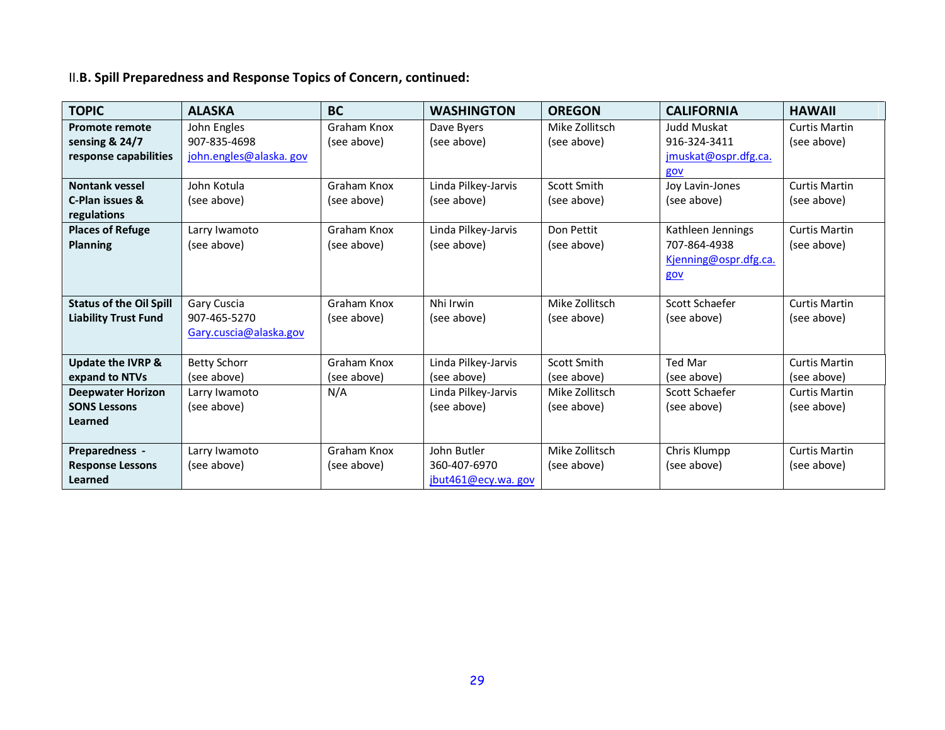# II.**B. Spill Preparedness and Response Topics of Concern, continued:**

| <b>TOPIC</b>                   | <b>ALASKA</b>          | <b>BC</b>   | <b>WASHINGTON</b>   | <b>OREGON</b>  | <b>CALIFORNIA</b>     | <b>HAWAII</b>        |
|--------------------------------|------------------------|-------------|---------------------|----------------|-----------------------|----------------------|
| <b>Promote remote</b>          | John Engles            | Graham Knox | Dave Byers          | Mike Zollitsch | Judd Muskat           | <b>Curtis Martin</b> |
| sensing & 24/7                 | 907-835-4698           | (see above) | (see above)         | (see above)    | 916-324-3411          | (see above)          |
| response capabilities          | john.engles@alaska.gov |             |                     |                | jmuskat@ospr.dfg.ca.  |                      |
|                                |                        |             |                     |                | gov                   |                      |
| <b>Nontank vessel</b>          | John Kotula            | Graham Knox | Linda Pilkey-Jarvis | Scott Smith    | Joy Lavin-Jones       | <b>Curtis Martin</b> |
| C-Plan issues &                | (see above)            | (see above) | (see above)         | (see above)    | (see above)           | (see above)          |
| regulations                    |                        |             |                     |                |                       |                      |
| <b>Places of Refuge</b>        | Larry Iwamoto          | Graham Knox | Linda Pilkey-Jarvis | Don Pettit     | Kathleen Jennings     | <b>Curtis Martin</b> |
| <b>Planning</b>                | (see above)            | (see above) | (see above)         | (see above)    | 707-864-4938          | (see above)          |
|                                |                        |             |                     |                | Kjenning@ospr.dfg.ca. |                      |
|                                |                        |             |                     |                | gov                   |                      |
|                                |                        |             |                     |                |                       |                      |
| <b>Status of the Oil Spill</b> | Gary Cuscia            | Graham Knox | Nhi Irwin           | Mike Zollitsch | Scott Schaefer        | <b>Curtis Martin</b> |
| <b>Liability Trust Fund</b>    | 907-465-5270           | (see above) | (see above)         | (see above)    | (see above)           | (see above)          |
|                                | Gary.cuscia@alaska.gov |             |                     |                |                       |                      |
|                                |                        |             |                     |                |                       |                      |
| <b>Update the IVRP &amp;</b>   | <b>Betty Schorr</b>    | Graham Knox | Linda Pilkey-Jarvis | Scott Smith    | <b>Ted Mar</b>        | <b>Curtis Martin</b> |
| expand to NTVs                 | (see above)            | (see above) | (see above)         | (see above)    | (see above)           | (see above)          |
| <b>Deepwater Horizon</b>       | Larry Iwamoto          | N/A         | Linda Pilkey-Jarvis | Mike Zollitsch | Scott Schaefer        | <b>Curtis Martin</b> |
| <b>SONS Lessons</b>            | (see above)            |             | (see above)         | (see above)    | (see above)           | (see above)          |
| <b>Learned</b>                 |                        |             |                     |                |                       |                      |
|                                |                        |             |                     |                |                       |                      |
| Preparedness -                 | Larry Iwamoto          | Graham Knox | John Butler         | Mike Zollitsch | Chris Klumpp          | <b>Curtis Martin</b> |
| <b>Response Lessons</b>        | (see above)            | (see above) | 360-407-6970        | (see above)    | (see above)           | (see above)          |
| Learned                        |                        |             | jbut461@ecy.wa.gov  |                |                       |                      |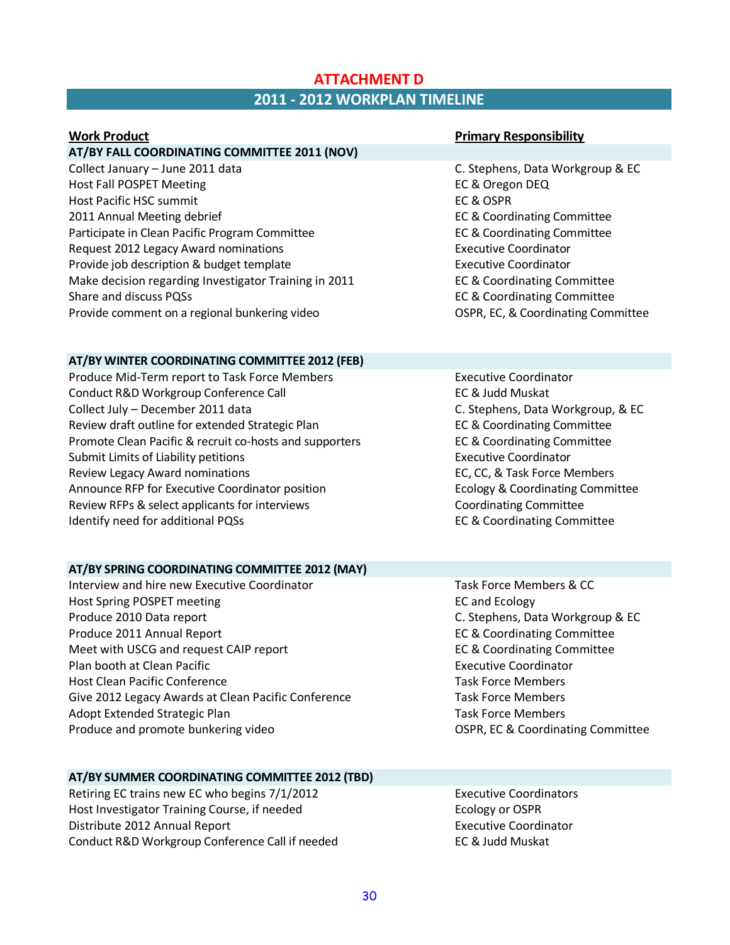## **ATTACHMENT D 2011 - 2012 WORKPLAN TIMELINE**

| <b>Work Product</b>                                   | <b>Primary Responsibility</b>          |
|-------------------------------------------------------|----------------------------------------|
| AT/BY FALL COORDINATING COMMITTEE 2011 (NOV)          |                                        |
| Collect January - June 2011 data                      | C. Stephens, Data Workgroup & EC       |
| <b>Host Fall POSPET Meeting</b>                       | EC & Oregon DEQ                        |
| Host Pacific HSC summit                               | EC & OSPR                              |
| 2011 Annual Meeting debrief                           | EC & Coordinating Committee            |
| Participate in Clean Pacific Program Committee        | EC & Coordinating Committee            |
| Request 2012 Legacy Award nominations                 | <b>Executive Coordinator</b>           |
| Provide job description & budget template             | <b>Executive Coordinator</b>           |
| Make decision regarding Investigator Training in 2011 | EC & Coordinating Committee            |
| Share and discuss PQSs                                | <b>EC &amp; Coordinating Committee</b> |
| Provide comment on a regional bunkering video         | OSPR, EC, & Coordinating Committee     |
| AT/BY WINTER COORDINATING COMMITTEE 2012 (FEB)        |                                        |
| Produce Mid-Term report to Task Force Members         | <b>Executive Coordinator</b>           |
| Conduct R&D Workgroup Conference Call                 | EC & Judd Muskat                       |
| Collect July - December 2011 data                     | C. Stephens, Data Workgroup, & EC      |
| Review draft outline for extended Strategic Plan      | EC & Coordinating Committee            |
|                                                       |                                        |

Promote Clean Pacific & recruit co-hosts and supporters EC & Coordinating Committee Submit Limits of Liability petitions **Executive Coordinator** Executive Coordinator Review Legacy Award nominations **EC, CC, & Task Force Members** EC, CC, & Task Force Members Announce RFP for Executive Coordinator position **Example 20 Ecology & Coordinating Committee** Review RFPs & select applicants for interviews Coordinating Committee Identify need for additional PQSs **EC & Coordinating Committee** 

## **AT/BY SPRING COORDINATING COMMITTEE 2012 (MAY)**

- Interview and hire new Executive Coordinator Task Force Members & CC Host Spring POSPET meeting EC and Ecology EC and Ecology Produce 2010 Data report C. Stephens, Data Workgroup & EC Produce 2011 Annual Report **EC & Coordinating Committee** Meet with USCG and request CAIP report EC & Coordinating Committee Plan booth at Clean Pacific **Executive Coordinator** Executive Coordinator Host Clean Pacific Conference Task Force Members Give 2012 Legacy Awards at Clean Pacific Conference Task Force Members Adopt Extended Strategic Plan Task Force Members and Task Force Members Produce and promote bunkering video **COSPR, EC & Coordinating Committee** OSPR, EC & Coordinating Committee
	-

#### **AT/BY SUMMER COORDINATING COMMITTEE 2012 (TBD)**

Retiring EC trains new EC who begins 7/1/2012 Executive Coordinators Host Investigator Training Course, if needed Ecology or OSPR Distribute 2012 Annual Report **Executive Coordinator** Executive Coordinator Conduct R&D Workgroup Conference Call if needed EC & Judd Muskat